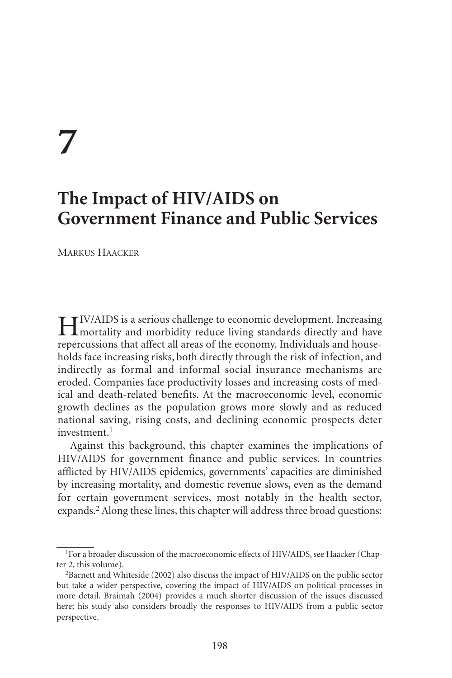# **7**

# **The Impact of HIV/AIDS on Government Finance and Public Services**

MARKUS HAACKER

HIV/AIDS is a serious challenge to economic development. Increasing mortality and morbidity reduce living standards directly and have repercussions that affect all areas of the economy. Individuals and households face increasing risks, both directly through the risk of infection, and indirectly as formal and informal social insurance mechanisms are eroded. Companies face productivity losses and increasing costs of medical and death-related benefits. At the macroeconomic level, economic growth declines as the population grows more slowly and as reduced national saving, rising costs, and declining economic prospects deter  $investment<sup>1</sup>$ 

Against this background, this chapter examines the implications of HIV/AIDS for government finance and public services. In countries afflicted by HIV/AIDS epidemics, governments' capacities are diminished by increasing mortality, and domestic revenue slows, even as the demand for certain government services, most notably in the health sector, expands.<sup>2</sup> Along these lines, this chapter will address three broad questions:

<sup>1</sup>For a broader discussion of the macroeconomic effects of HIV/AIDS, see Haacker (Chapter 2, this volume).

<sup>2</sup>Barnett and Whiteside (2002) also discuss the impact of HIV/AIDS on the public sector but take a wider perspective, covering the impact of HIV/AIDS on political processes in more detail. Braimah (2004) provides a much shorter discussion of the issues discussed here; his study also considers broadly the responses to HIV/AIDS from a public sector perspective.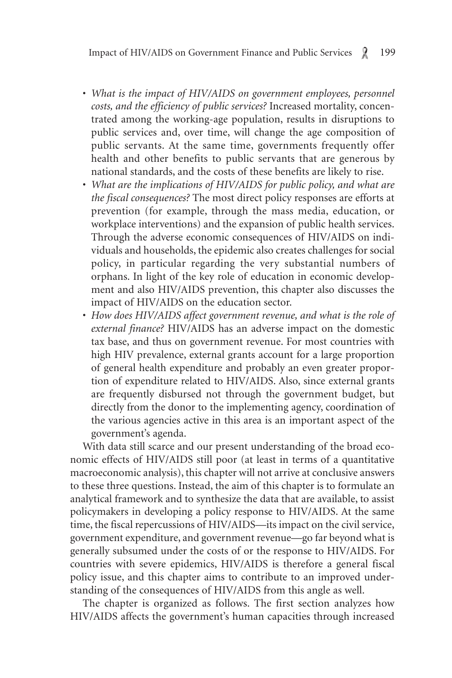- *What is the impact of HIV/AIDS on government employees, personnel costs, and the efficiency of public services?* Increased mortality, concentrated among the working-age population, results in disruptions to public services and, over time, will change the age composition of public servants. At the same time, governments frequently offer health and other benefits to public servants that are generous by national standards, and the costs of these benefits are likely to rise.
- *What are the implications of HIV/AIDS for public policy, and what are the fiscal consequences?* The most direct policy responses are efforts at prevention (for example, through the mass media, education, or workplace interventions) and the expansion of public health services. Through the adverse economic consequences of HIV/AIDS on individuals and households, the epidemic also creates challenges for social policy, in particular regarding the very substantial numbers of orphans. In light of the key role of education in economic development and also HIV/AIDS prevention, this chapter also discusses the impact of HIV/AIDS on the education sector.
- *How does HIV/AIDS affect government revenue, and what is the role of external finance?* HIV/AIDS has an adverse impact on the domestic tax base, and thus on government revenue. For most countries with high HIV prevalence, external grants account for a large proportion of general health expenditure and probably an even greater proportion of expenditure related to HIV/AIDS. Also, since external grants are frequently disbursed not through the government budget, but directly from the donor to the implementing agency, coordination of the various agencies active in this area is an important aspect of the government's agenda.

With data still scarce and our present understanding of the broad economic effects of HIV/AIDS still poor (at least in terms of a quantitative macroeconomic analysis), this chapter will not arrive at conclusive answers to these three questions. Instead, the aim of this chapter is to formulate an analytical framework and to synthesize the data that are available, to assist policymakers in developing a policy response to HIV/AIDS. At the same time, the fiscal repercussions of HIV/AIDS—its impact on the civil service, government expenditure, and government revenue—go far beyond what is generally subsumed under the costs of or the response to HIV/AIDS. For countries with severe epidemics, HIV/AIDS is therefore a general fiscal policy issue, and this chapter aims to contribute to an improved understanding of the consequences of HIV/AIDS from this angle as well.

The chapter is organized as follows. The first section analyzes how HIV/AIDS affects the government's human capacities through increased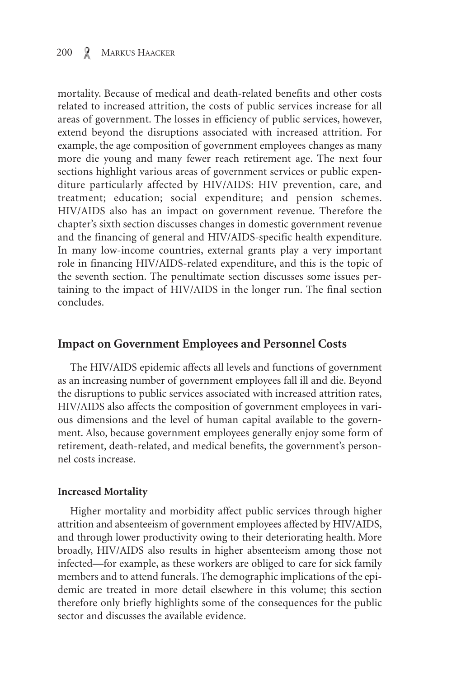mortality. Because of medical and death-related benefits and other costs related to increased attrition, the costs of public services increase for all areas of government. The losses in efficiency of public services, however, extend beyond the disruptions associated with increased attrition. For example, the age composition of government employees changes as many more die young and many fewer reach retirement age. The next four sections highlight various areas of government services or public expenditure particularly affected by HIV/AIDS: HIV prevention, care, and treatment; education; social expenditure; and pension schemes. HIV/AIDS also has an impact on government revenue. Therefore the chapter's sixth section discusses changes in domestic government revenue and the financing of general and HIV/AIDS-specific health expenditure. In many low-income countries, external grants play a very important role in financing HIV/AIDS-related expenditure, and this is the topic of the seventh section. The penultimate section discusses some issues pertaining to the impact of HIV/AIDS in the longer run. The final section concludes.

# **Impact on Government Employees and Personnel Costs**

The HIV/AIDS epidemic affects all levels and functions of government as an increasing number of government employees fall ill and die. Beyond the disruptions to public services associated with increased attrition rates, HIV/AIDS also affects the composition of government employees in various dimensions and the level of human capital available to the government. Also, because government employees generally enjoy some form of retirement, death-related, and medical benefits, the government's personnel costs increase.

# **Increased Mortality**

Higher mortality and morbidity affect public services through higher attrition and absenteeism of government employees affected by HIV/AIDS, and through lower productivity owing to their deteriorating health. More broadly, HIV/AIDS also results in higher absenteeism among those not infected—for example, as these workers are obliged to care for sick family members and to attend funerals. The demographic implications of the epidemic are treated in more detail elsewhere in this volume; this section therefore only briefly highlights some of the consequences for the public sector and discusses the available evidence.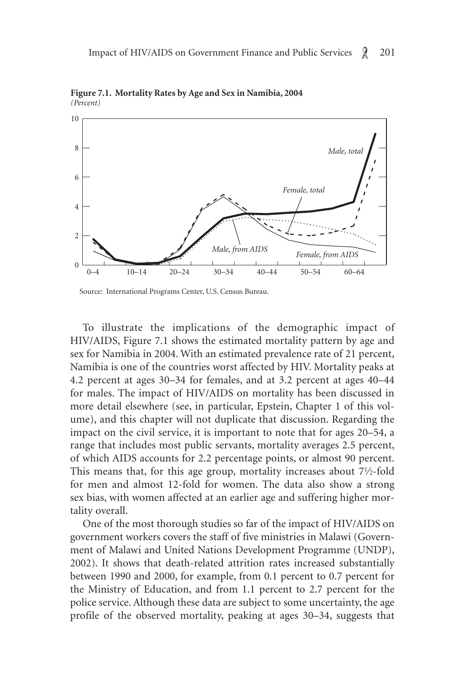

**Figure 7.1. Mortality Rates by Age and Sex in Namibia, 2004** *(Percent)*

Source: International Programs Center, U.S. Census Bureau.

To illustrate the implications of the demographic impact of HIV/AIDS, Figure 7.1 shows the estimated mortality pattern by age and sex for Namibia in 2004. With an estimated prevalence rate of 21 percent, Namibia is one of the countries worst affected by HIV. Mortality peaks at 4.2 percent at ages 30–34 for females, and at 3.2 percent at ages 40–44 for males. The impact of HIV/AIDS on mortality has been discussed in more detail elsewhere (see, in particular, Epstein, Chapter 1 of this volume), and this chapter will not duplicate that discussion. Regarding the impact on the civil service, it is important to note that for ages 20–54, a range that includes most public servants, mortality averages 2.5 percent, of which AIDS accounts for 2.2 percentage points, or almost 90 percent. This means that, for this age group, mortality increases about  $7\frac{1}{2}$ -fold for men and almost 12-fold for women. The data also show a strong sex bias, with women affected at an earlier age and suffering higher mortality overall.

One of the most thorough studies so far of the impact of HIV/AIDS on government workers covers the staff of five ministries in Malawi (Government of Malawi and United Nations Development Programme (UNDP), 2002). It shows that death-related attrition rates increased substantially between 1990 and 2000, for example, from 0.1 percent to 0.7 percent for the Ministry of Education, and from 1.1 percent to 2.7 percent for the police service. Although these data are subject to some uncertainty, the age profile of the observed mortality, peaking at ages 30–34, suggests that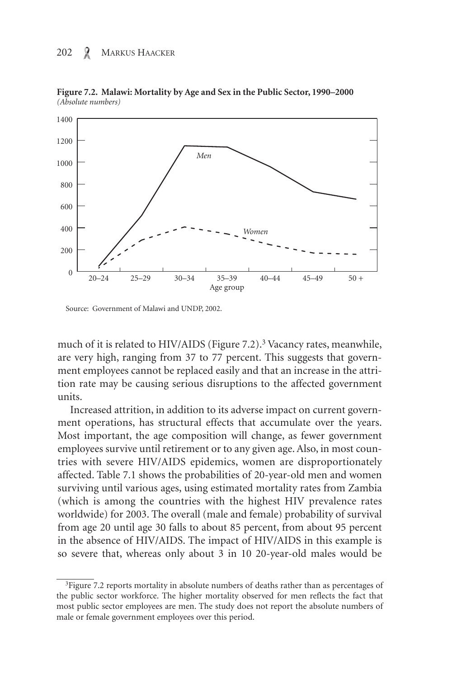

**Figure 7.2. Malawi: Mortality by Age and Sex in the Public Sector, 1990–2000** *(Absolute numbers)*

Source: Government of Malawi and UNDP, 2002.

much of it is related to HIV/AIDS (Figure 7.2).<sup>3</sup> Vacancy rates, meanwhile, are very high, ranging from 37 to 77 percent. This suggests that government employees cannot be replaced easily and that an increase in the attrition rate may be causing serious disruptions to the affected government units.

Increased attrition, in addition to its adverse impact on current government operations, has structural effects that accumulate over the years. Most important, the age composition will change, as fewer government employees survive until retirement or to any given age. Also, in most countries with severe HIV/AIDS epidemics, women are disproportionately affected. Table 7.1 shows the probabilities of 20-year-old men and women surviving until various ages, using estimated mortality rates from Zambia (which is among the countries with the highest HIV prevalence rates worldwide) for 2003. The overall (male and female) probability of survival from age 20 until age 30 falls to about 85 percent, from about 95 percent in the absence of HIV/AIDS. The impact of HIV/AIDS in this example is so severe that, whereas only about 3 in 10 20-year-old males would be

<sup>&</sup>lt;sup>3</sup>Figure 7.2 reports mortality in absolute numbers of deaths rather than as percentages of the public sector workforce. The higher mortality observed for men reflects the fact that most public sector employees are men. The study does not report the absolute numbers of male or female government employees over this period.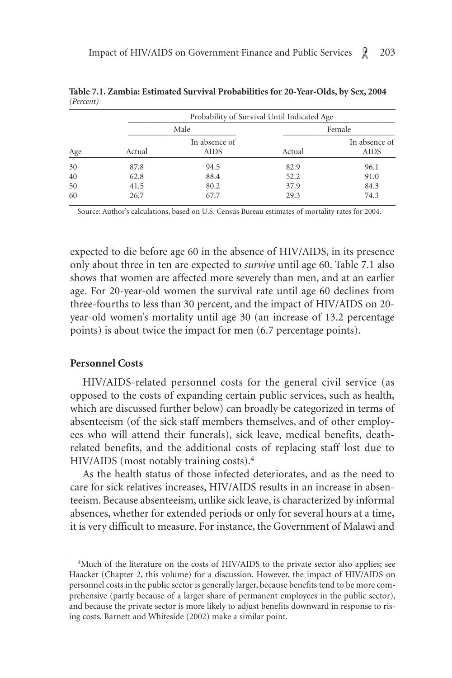|     |        | Probability of Survival Until Indicated Age |        |                              |
|-----|--------|---------------------------------------------|--------|------------------------------|
|     |        | Male                                        |        | Female                       |
| Age | Actual | In absence of<br><b>AIDS</b>                | Actual | In absence of<br><b>AIDS</b> |
| 30  | 87.8   | 94.5                                        | 82.9   | 96.1                         |
| 40  | 62.8   | 88.4                                        | 52.2   | 91.0                         |
| 50  | 41.5   | 80.2                                        | 37.9   | 84.3                         |
| 60  | 26.7   | 67.7                                        | 29.3   | 74.3                         |

**Table 7.1. Zambia: Estimated Survival Probabilities for 20-Year-Olds, by Sex, 2004** *(Percent)*

Source: Author's calculations, based on U.S. Census Bureau estimates of mortality rates for 2004.

expected to die before age 60 in the absence of HIV/AIDS, in its presence only about three in ten are expected to *survive* until age 60. Table 7.1 also shows that women are affected more severely than men, and at an earlier age. For 20-year-old women the survival rate until age 60 declines from three-fourths to less than 30 percent, and the impact of HIV/AIDS on 20 year-old women's mortality until age 30 (an increase of 13.2 percentage points) is about twice the impact for men (6.7 percentage points).

#### **Personnel Costs**

HIV/AIDS-related personnel costs for the general civil service (as opposed to the costs of expanding certain public services, such as health, which are discussed further below) can broadly be categorized in terms of absenteeism (of the sick staff members themselves, and of other employees who will attend their funerals), sick leave, medical benefits, deathrelated benefits, and the additional costs of replacing staff lost due to HIV/AIDS (most notably training costs).4

As the health status of those infected deteriorates, and as the need to care for sick relatives increases, HIV/AIDS results in an increase in absenteeism. Because absenteeism, unlike sick leave, is characterized by informal absences, whether for extended periods or only for several hours at a time, it is very difficult to measure. For instance, the Government of Malawi and

<sup>&</sup>lt;sup>4</sup>Much of the literature on the costs of HIV/AIDS to the private sector also applies; see Haacker (Chapter 2, this volume) for a discussion. However, the impact of HIV/AIDS on personnel costs in the public sector is generally larger, because benefits tend to be more comprehensive (partly because of a larger share of permanent employees in the public sector), and because the private sector is more likely to adjust benefits downward in response to rising costs. Barnett and Whiteside (2002) make a similar point.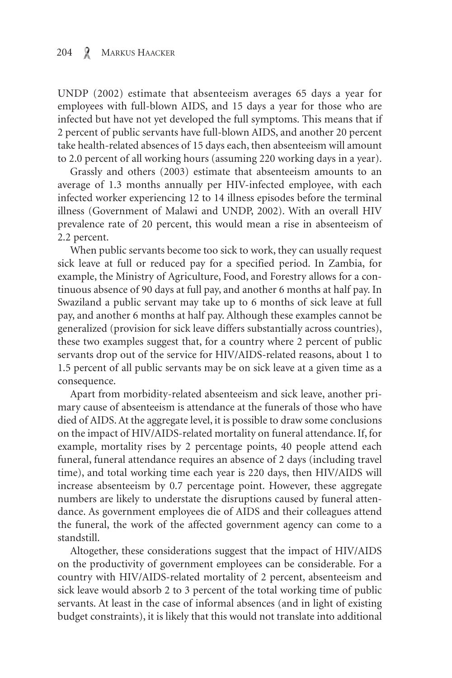UNDP (2002) estimate that absenteeism averages 65 days a year for employees with full-blown AIDS, and 15 days a year for those who are infected but have not yet developed the full symptoms. This means that if 2 percent of public servants have full-blown AIDS, and another 20 percent take health-related absences of 15 days each, then absenteeism will amount to 2.0 percent of all working hours (assuming 220 working days in a year).

Grassly and others (2003) estimate that absenteeism amounts to an average of 1.3 months annually per HIV-infected employee, with each infected worker experiencing 12 to 14 illness episodes before the terminal illness (Government of Malawi and UNDP, 2002). With an overall HIV prevalence rate of 20 percent, this would mean a rise in absenteeism of 2.2 percent.

When public servants become too sick to work, they can usually request sick leave at full or reduced pay for a specified period. In Zambia, for example, the Ministry of Agriculture, Food, and Forestry allows for a continuous absence of 90 days at full pay, and another 6 months at half pay. In Swaziland a public servant may take up to 6 months of sick leave at full pay, and another 6 months at half pay. Although these examples cannot be generalized (provision for sick leave differs substantially across countries), these two examples suggest that, for a country where 2 percent of public servants drop out of the service for HIV/AIDS-related reasons, about 1 to 1.5 percent of all public servants may be on sick leave at a given time as a consequence.

Apart from morbidity-related absenteeism and sick leave, another primary cause of absenteeism is attendance at the funerals of those who have died of AIDS. At the aggregate level, it is possible to draw some conclusions on the impact of HIV/AIDS-related mortality on funeral attendance. If, for example, mortality rises by 2 percentage points, 40 people attend each funeral, funeral attendance requires an absence of 2 days (including travel time), and total working time each year is 220 days, then HIV/AIDS will increase absenteeism by 0.7 percentage point. However, these aggregate numbers are likely to understate the disruptions caused by funeral attendance. As government employees die of AIDS and their colleagues attend the funeral, the work of the affected government agency can come to a standstill.

Altogether, these considerations suggest that the impact of HIV/AIDS on the productivity of government employees can be considerable. For a country with HIV/AIDS-related mortality of 2 percent, absenteeism and sick leave would absorb 2 to 3 percent of the total working time of public servants. At least in the case of informal absences (and in light of existing budget constraints), it is likely that this would not translate into additional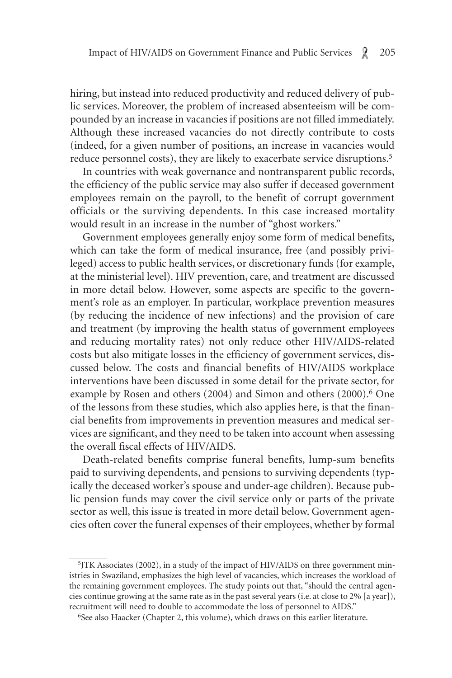hiring, but instead into reduced productivity and reduced delivery of public services. Moreover, the problem of increased absenteeism will be compounded by an increase in vacancies if positions are not filled immediately. Although these increased vacancies do not directly contribute to costs (indeed, for a given number of positions, an increase in vacancies would reduce personnel costs), they are likely to exacerbate service disruptions.5

In countries with weak governance and nontransparent public records, the efficiency of the public service may also suffer if deceased government employees remain on the payroll, to the benefit of corrupt government officials or the surviving dependents. In this case increased mortality would result in an increase in the number of "ghost workers."

Government employees generally enjoy some form of medical benefits, which can take the form of medical insurance, free (and possibly privileged) access to public health services, or discretionary funds (for example, at the ministerial level). HIV prevention, care, and treatment are discussed in more detail below. However, some aspects are specific to the government's role as an employer. In particular, workplace prevention measures (by reducing the incidence of new infections) and the provision of care and treatment (by improving the health status of government employees and reducing mortality rates) not only reduce other HIV/AIDS-related costs but also mitigate losses in the efficiency of government services, discussed below. The costs and financial benefits of HIV/AIDS workplace interventions have been discussed in some detail for the private sector, for example by Rosen and others (2004) and Simon and others (2000).<sup>6</sup> One of the lessons from these studies, which also applies here, is that the financial benefits from improvements in prevention measures and medical services are significant, and they need to be taken into account when assessing the overall fiscal effects of HIV/AIDS.

Death-related benefits comprise funeral benefits, lump-sum benefits paid to surviving dependents, and pensions to surviving dependents (typically the deceased worker's spouse and under-age children). Because public pension funds may cover the civil service only or parts of the private sector as well, this issue is treated in more detail below. Government agencies often cover the funeral expenses of their employees, whether by formal

<sup>5</sup>JTK Associates (2002), in a study of the impact of HIV/AIDS on three government ministries in Swaziland, emphasizes the high level of vacancies, which increases the workload of the remaining government employees. The study points out that, "should the central agencies continue growing at the same rate as in the past several years (i.e. at close to 2% [a year]), recruitment will need to double to accommodate the loss of personnel to AIDS."

<sup>6</sup>See also Haacker (Chapter 2, this volume), which draws on this earlier literature.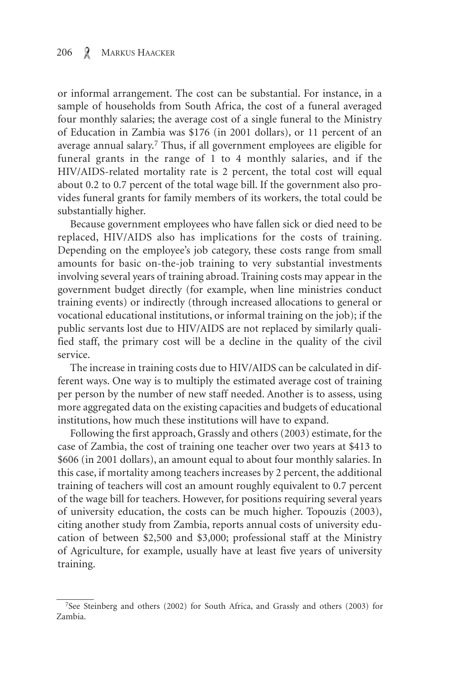or informal arrangement. The cost can be substantial. For instance, in a sample of households from South Africa, the cost of a funeral averaged four monthly salaries; the average cost of a single funeral to the Ministry of Education in Zambia was \$176 (in 2001 dollars), or 11 percent of an average annual salary.<sup>7</sup> Thus, if all government employees are eligible for funeral grants in the range of 1 to 4 monthly salaries, and if the HIV/AIDS-related mortality rate is 2 percent, the total cost will equal about 0.2 to 0.7 percent of the total wage bill. If the government also provides funeral grants for family members of its workers, the total could be substantially higher.

Because government employees who have fallen sick or died need to be replaced, HIV/AIDS also has implications for the costs of training. Depending on the employee's job category, these costs range from small amounts for basic on-the-job training to very substantial investments involving several years of training abroad. Training costs may appear in the government budget directly (for example, when line ministries conduct training events) or indirectly (through increased allocations to general or vocational educational institutions, or informal training on the job); if the public servants lost due to HIV/AIDS are not replaced by similarly qualified staff, the primary cost will be a decline in the quality of the civil service.

The increase in training costs due to HIV/AIDS can be calculated in different ways. One way is to multiply the estimated average cost of training per person by the number of new staff needed. Another is to assess, using more aggregated data on the existing capacities and budgets of educational institutions, how much these institutions will have to expand.

Following the first approach, Grassly and others (2003) estimate, for the case of Zambia, the cost of training one teacher over two years at \$413 to \$606 (in 2001 dollars), an amount equal to about four monthly salaries. In this case, if mortality among teachers increases by 2 percent, the additional training of teachers will cost an amount roughly equivalent to 0.7 percent of the wage bill for teachers. However, for positions requiring several years of university education, the costs can be much higher. Topouzis (2003), citing another study from Zambia, reports annual costs of university education of between \$2,500 and \$3,000; professional staff at the Ministry of Agriculture, for example, usually have at least five years of university training.

<sup>7</sup>See Steinberg and others (2002) for South Africa, and Grassly and others (2003) for Zambia.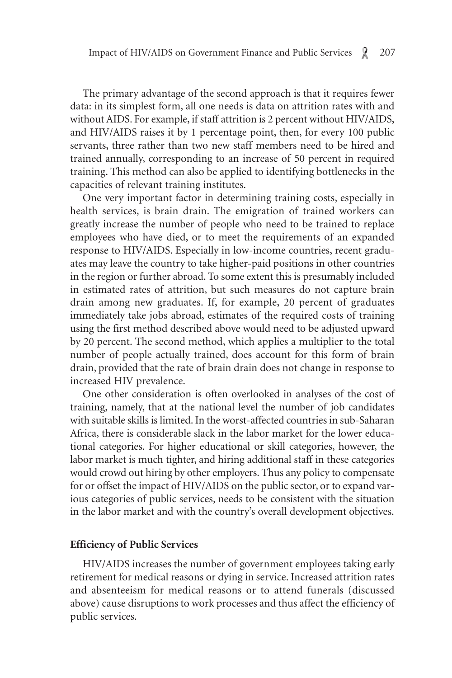The primary advantage of the second approach is that it requires fewer data: in its simplest form, all one needs is data on attrition rates with and without AIDS. For example, if staff attrition is 2 percent without HIV/AIDS, and HIV/AIDS raises it by 1 percentage point, then, for every 100 public servants, three rather than two new staff members need to be hired and trained annually, corresponding to an increase of 50 percent in required training. This method can also be applied to identifying bottlenecks in the capacities of relevant training institutes.

One very important factor in determining training costs, especially in health services, is brain drain. The emigration of trained workers can greatly increase the number of people who need to be trained to replace employees who have died, or to meet the requirements of an expanded response to HIV/AIDS. Especially in low-income countries, recent graduates may leave the country to take higher-paid positions in other countries in the region or further abroad. To some extent this is presumably included in estimated rates of attrition, but such measures do not capture brain drain among new graduates. If, for example, 20 percent of graduates immediately take jobs abroad, estimates of the required costs of training using the first method described above would need to be adjusted upward by 20 percent. The second method, which applies a multiplier to the total number of people actually trained, does account for this form of brain drain, provided that the rate of brain drain does not change in response to increased HIV prevalence.

One other consideration is often overlooked in analyses of the cost of training, namely, that at the national level the number of job candidates with suitable skills is limited. In the worst-affected countries in sub-Saharan Africa, there is considerable slack in the labor market for the lower educational categories. For higher educational or skill categories, however, the labor market is much tighter, and hiring additional staff in these categories would crowd out hiring by other employers. Thus any policy to compensate for or offset the impact of HIV/AIDS on the public sector, or to expand various categories of public services, needs to be consistent with the situation in the labor market and with the country's overall development objectives.

#### **Efficiency of Public Services**

HIV/AIDS increases the number of government employees taking early retirement for medical reasons or dying in service. Increased attrition rates and absenteeism for medical reasons or to attend funerals (discussed above) cause disruptions to work processes and thus affect the efficiency of public services.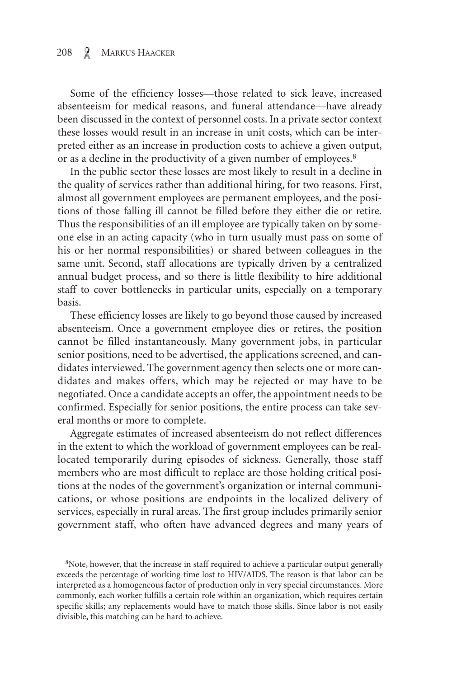Some of the efficiency losses—those related to sick leave, increased absenteeism for medical reasons, and funeral attendance—have already been discussed in the context of personnel costs. In a private sector context these losses would result in an increase in unit costs, which can be interpreted either as an increase in production costs to achieve a given output, or as a decline in the productivity of a given number of employees.<sup>8</sup>

In the public sector these losses are most likely to result in a decline in the quality of services rather than additional hiring, for two reasons. First, almost all government employees are permanent employees, and the positions of those falling ill cannot be filled before they either die or retire. Thus the responsibilities of an ill employee are typically taken on by someone else in an acting capacity (who in turn usually must pass on some of his or her normal responsibilities) or shared between colleagues in the same unit. Second, staff allocations are typically driven by a centralized annual budget process, and so there is little flexibility to hire additional staff to cover bottlenecks in particular units, especially on a temporary basis.

These efficiency losses are likely to go beyond those caused by increased absenteeism. Once a government employee dies or retires, the position cannot be filled instantaneously. Many government jobs, in particular senior positions, need to be advertised, the applications screened, and candidates interviewed. The government agency then selects one or more candidates and makes offers, which may be rejected or may have to be negotiated. Once a candidate accepts an offer, the appointment needs to be confirmed. Especially for senior positions, the entire process can take several months or more to complete.

Aggregate estimates of increased absenteeism do not reflect differences in the extent to which the workload of government employees can be reallocated temporarily during episodes of sickness. Generally, those staff members who are most difficult to replace are those holding critical positions at the nodes of the government's organization or internal communications, or whose positions are endpoints in the localized delivery of services, especially in rural areas. The first group includes primarily senior government staff, who often have advanced degrees and many years of

<sup>&</sup>lt;sup>8</sup>Note, however, that the increase in staff required to achieve a particular output generally exceeds the percentage of working time lost to HIV/AIDS. The reason is that labor can be interpreted as a homogeneous factor of production only in very special circumstances. More commonly, each worker fulfills a certain role within an organization, which requires certain specific skills; any replacements would have to match those skills. Since labor is not easily divisible, this matching can be hard to achieve.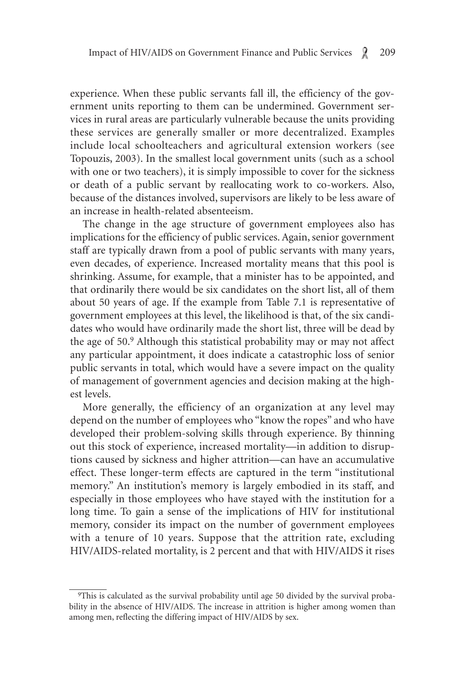experience. When these public servants fall ill, the efficiency of the government units reporting to them can be undermined. Government services in rural areas are particularly vulnerable because the units providing these services are generally smaller or more decentralized. Examples include local schoolteachers and agricultural extension workers (see Topouzis, 2003). In the smallest local government units (such as a school with one or two teachers), it is simply impossible to cover for the sickness or death of a public servant by reallocating work to co-workers. Also, because of the distances involved, supervisors are likely to be less aware of an increase in health-related absenteeism.

The change in the age structure of government employees also has implications for the efficiency of public services. Again, senior government staff are typically drawn from a pool of public servants with many years, even decades, of experience. Increased mortality means that this pool is shrinking. Assume, for example, that a minister has to be appointed, and that ordinarily there would be six candidates on the short list, all of them about 50 years of age. If the example from Table 7.1 is representative of government employees at this level, the likelihood is that, of the six candidates who would have ordinarily made the short list, three will be dead by the age of 50.9 Although this statistical probability may or may not affect any particular appointment, it does indicate a catastrophic loss of senior public servants in total, which would have a severe impact on the quality of management of government agencies and decision making at the highest levels.

More generally, the efficiency of an organization at any level may depend on the number of employees who "know the ropes" and who have developed their problem-solving skills through experience. By thinning out this stock of experience, increased mortality—in addition to disruptions caused by sickness and higher attrition—can have an accumulative effect. These longer-term effects are captured in the term "institutional memory." An institution's memory is largely embodied in its staff, and especially in those employees who have stayed with the institution for a long time. To gain a sense of the implications of HIV for institutional memory, consider its impact on the number of government employees with a tenure of 10 years. Suppose that the attrition rate, excluding HIV/AIDS-related mortality, is 2 percent and that with HIV/AIDS it rises

<sup>9</sup>This is calculated as the survival probability until age 50 divided by the survival probability in the absence of HIV/AIDS. The increase in attrition is higher among women than among men, reflecting the differing impact of HIV/AIDS by sex.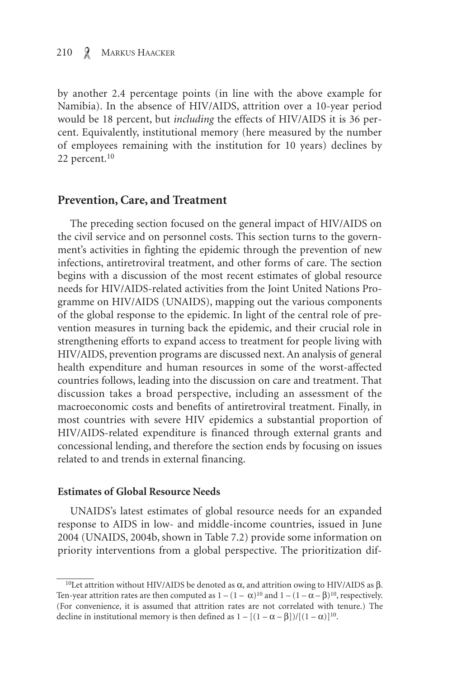by another 2.4 percentage points (in line with the above example for Namibia). In the absence of HIV/AIDS, attrition over a 10-year period would be 18 percent, but *including* the effects of HIV/AIDS it is 36 percent. Equivalently, institutional memory (here measured by the number of employees remaining with the institution for 10 years) declines by 22 percent.<sup>10</sup>

# **Prevention, Care, and Treatment**

The preceding section focused on the general impact of HIV/AIDS on the civil service and on personnel costs. This section turns to the government's activities in fighting the epidemic through the prevention of new infections, antiretroviral treatment, and other forms of care. The section begins with a discussion of the most recent estimates of global resource needs for HIV/AIDS-related activities from the Joint United Nations Programme on HIV/AIDS (UNAIDS), mapping out the various components of the global response to the epidemic. In light of the central role of prevention measures in turning back the epidemic, and their crucial role in strengthening efforts to expand access to treatment for people living with HIV/AIDS, prevention programs are discussed next. An analysis of general health expenditure and human resources in some of the worst-affected countries follows, leading into the discussion on care and treatment. That discussion takes a broad perspective, including an assessment of the macroeconomic costs and benefits of antiretroviral treatment. Finally, in most countries with severe HIV epidemics a substantial proportion of HIV/AIDS-related expenditure is financed through external grants and concessional lending, and therefore the section ends by focusing on issues related to and trends in external financing.

# **Estimates of Global Resource Needs**

UNAIDS's latest estimates of global resource needs for an expanded response to AIDS in low- and middle-income countries, issued in June 2004 (UNAIDS, 2004b, shown in Table 7.2) provide some information on priority interventions from a global perspective. The prioritization dif-

<sup>&</sup>lt;sup>10</sup>Let attrition without HIV/AIDS be denoted as  $\alpha$ , and attrition owing to HIV/AIDS as β. Ten-year attrition rates are then computed as  $1 - (1 - \alpha)^{10}$  and  $1 - (1 - \alpha - \beta)^{10}$ , respectively. (For convenience, it is assumed that attrition rates are not correlated with tenure.) The decline in institutional memory is then defined as  $1 - [(1 - \alpha - \beta])/[(1 - \alpha)]^{10}$ .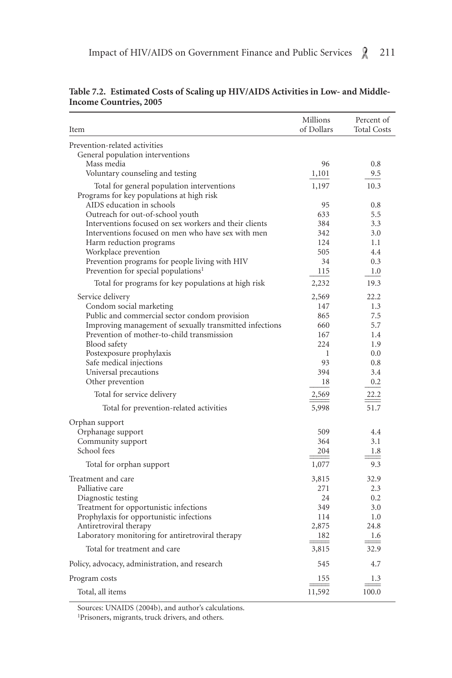| Item                                                    | Millions<br>of Dollars | Percent of<br><b>Total Costs</b> |
|---------------------------------------------------------|------------------------|----------------------------------|
| Prevention-related activities                           |                        |                                  |
| General population interventions                        |                        |                                  |
| Mass media                                              | 96                     | 0.8                              |
| Voluntary counseling and testing                        | 1,101                  | 9.5                              |
| Total for general population interventions              | 1,197                  | 10.3                             |
| Programs for key populations at high risk               |                        |                                  |
| AIDS education in schools                               | 95                     | 0.8                              |
| Outreach for out-of-school youth                        | 633                    | 5.5                              |
| Interventions focused on sex workers and their clients  | 384                    | 3.3                              |
| Interventions focused on men who have sex with men      | 342                    | 3.0                              |
| Harm reduction programs                                 | 124                    | 1.1                              |
| Workplace prevention                                    | 505                    | 4.4                              |
| Prevention programs for people living with HIV          | 34                     | 0.3                              |
| Prevention for special populations <sup>1</sup>         | 115                    | 1.0                              |
| Total for programs for key populations at high risk     | 2,232                  | 19.3                             |
| Service delivery                                        | 2,569                  | 22.2                             |
| Condom social marketing                                 | 147                    | 1.3                              |
| Public and commercial sector condom provision           | 865                    | 7.5                              |
| Improving management of sexually transmitted infections | 660                    | 5.7                              |
| Prevention of mother-to-child transmission              | 167                    | 1.4                              |
| Blood safety                                            | 224                    | 1.9                              |
| Postexposure prophylaxis                                | $\mathbf{1}$           | 0.0                              |
| Safe medical injections                                 | 93                     | 0.8                              |
| Universal precautions                                   | 394                    | 3.4                              |
| Other prevention                                        | 18                     | 0.2                              |
| Total for service delivery                              | 2,569                  | 22.2                             |
| Total for prevention-related activities                 | 5,998                  | 51.7                             |
| Orphan support                                          |                        |                                  |
| Orphanage support                                       | 509                    | 4.4                              |
| Community support                                       | 364                    | 3.1                              |
| School fees                                             | 204                    | 1.8                              |
| Total for orphan support                                | 1,077                  | 9.3                              |
| Treatment and care                                      | 3,815                  | 32.9                             |
| Palliative care                                         | 271                    | 2.3                              |
| Diagnostic testing                                      | 24                     | 0.2                              |
| Treatment for opportunistic infections                  | 349                    | 3.0                              |
| Prophylaxis for opportunistic infections                | 114                    | 1.0                              |
| Antiretroviral therapy                                  | 2,875                  | 24.8                             |
| Laboratory monitoring for antiretroviral therapy        | 182                    | 1.6                              |
| Total for treatment and care                            | 3,815                  | 32.9                             |
| Policy, advocacy, administration, and research          | 545                    | 4.7                              |
| Program costs                                           | 155                    | 1.3                              |
| Total, all items                                        | 11,592                 | 100.0                            |

| Table 7.2. Estimated Costs of Scaling up HIV/AIDS Activities in Low- and Middle- |
|----------------------------------------------------------------------------------|
| <b>Income Countries, 2005</b>                                                    |

Sources: UNAIDS (2004b), and author's calculations.

1Prisoners, migrants, truck drivers, and others.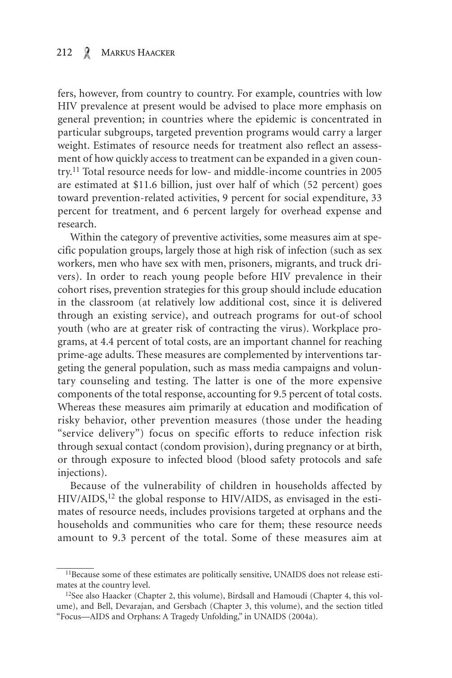fers, however, from country to country. For example, countries with low HIV prevalence at present would be advised to place more emphasis on general prevention; in countries where the epidemic is concentrated in particular subgroups, targeted prevention programs would carry a larger weight. Estimates of resource needs for treatment also reflect an assessment of how quickly access to treatment can be expanded in a given country.11 Total resource needs for low- and middle-income countries in 2005 are estimated at \$11.6 billion, just over half of which (52 percent) goes toward prevention-related activities, 9 percent for social expenditure, 33 percent for treatment, and 6 percent largely for overhead expense and research.

Within the category of preventive activities, some measures aim at specific population groups, largely those at high risk of infection (such as sex workers, men who have sex with men, prisoners, migrants, and truck drivers). In order to reach young people before HIV prevalence in their cohort rises, prevention strategies for this group should include education in the classroom (at relatively low additional cost, since it is delivered through an existing service), and outreach programs for out-of school youth (who are at greater risk of contracting the virus). Workplace programs, at 4.4 percent of total costs, are an important channel for reaching prime-age adults. These measures are complemented by interventions targeting the general population, such as mass media campaigns and voluntary counseling and testing. The latter is one of the more expensive components of the total response, accounting for 9.5 percent of total costs. Whereas these measures aim primarily at education and modification of risky behavior, other prevention measures (those under the heading "service delivery") focus on specific efforts to reduce infection risk through sexual contact (condom provision), during pregnancy or at birth, or through exposure to infected blood (blood safety protocols and safe injections).

Because of the vulnerability of children in households affected by  $HIV/ALDS$ ,<sup>12</sup> the global response to  $HIV/ALDS$ , as envisaged in the estimates of resource needs, includes provisions targeted at orphans and the households and communities who care for them; these resource needs amount to 9.3 percent of the total. Some of these measures aim at

<sup>11</sup>Because some of these estimates are politically sensitive, UNAIDS does not release estimates at the country level.

<sup>12</sup>See also Haacker (Chapter 2, this volume), Birdsall and Hamoudi (Chapter 4, this volume), and Bell, Devarajan, and Gersbach (Chapter 3, this volume), and the section titled "Focus—AIDS and Orphans: A Tragedy Unfolding," in UNAIDS (2004a).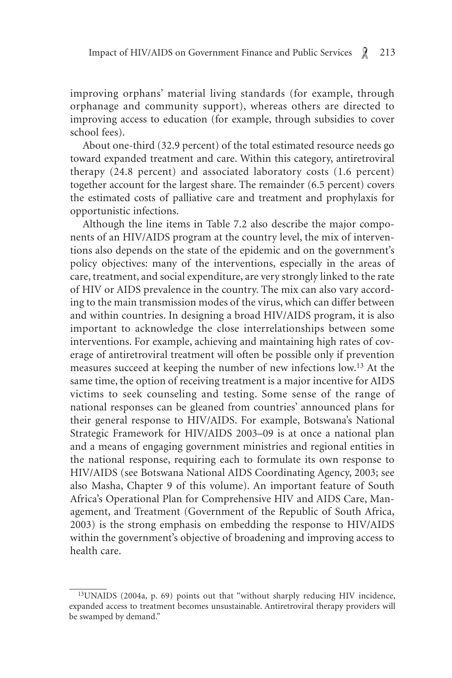improving orphans' material living standards (for example, through orphanage and community support), whereas others are directed to improving access to education (for example, through subsidies to cover school fees).

About one-third (32.9 percent) of the total estimated resource needs go toward expanded treatment and care. Within this category, antiretroviral therapy (24.8 percent) and associated laboratory costs (1.6 percent) together account for the largest share. The remainder (6.5 percent) covers the estimated costs of palliative care and treatment and prophylaxis for opportunistic infections.

Although the line items in Table 7.2 also describe the major components of an HIV/AIDS program at the country level, the mix of interventions also depends on the state of the epidemic and on the government's policy objectives: many of the interventions, especially in the areas of care, treatment, and social expenditure, are very strongly linked to the rate of HIV or AIDS prevalence in the country. The mix can also vary according to the main transmission modes of the virus, which can differ between and within countries. In designing a broad HIV/AIDS program, it is also important to acknowledge the close interrelationships between some interventions. For example, achieving and maintaining high rates of coverage of antiretroviral treatment will often be possible only if prevention measures succeed at keeping the number of new infections low.13 At the same time, the option of receiving treatment is a major incentive for AIDS victims to seek counseling and testing. Some sense of the range of national responses can be gleaned from countries' announced plans for their general response to HIV/AIDS. For example, Botswana's National Strategic Framework for HIV/AIDS 2003–09 is at once a national plan and a means of engaging government ministries and regional entities in the national response, requiring each to formulate its own response to HIV/AIDS (see Botswana National AIDS Coordinating Agency, 2003; see also Masha, Chapter 9 of this volume). An important feature of South Africa's Operational Plan for Comprehensive HIV and AIDS Care, Management, and Treatment (Government of the Republic of South Africa, 2003) is the strong emphasis on embedding the response to HIV/AIDS within the government's objective of broadening and improving access to health care.

<sup>13</sup>UNAIDS (2004a, p. 69) points out that "without sharply reducing HIV incidence, expanded access to treatment becomes unsustainable. Antiretroviral therapy providers will be swamped by demand."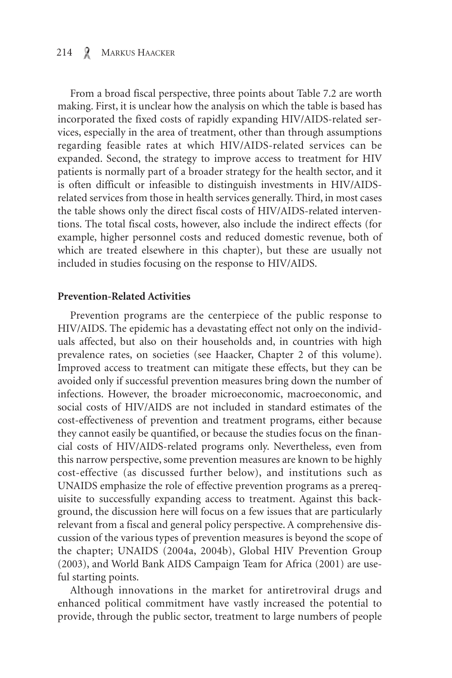From a broad fiscal perspective, three points about Table 7.2 are worth making. First, it is unclear how the analysis on which the table is based has incorporated the fixed costs of rapidly expanding HIV/AIDS-related services, especially in the area of treatment, other than through assumptions regarding feasible rates at which HIV/AIDS-related services can be expanded. Second, the strategy to improve access to treatment for HIV patients is normally part of a broader strategy for the health sector, and it is often difficult or infeasible to distinguish investments in HIV/AIDSrelated services from those in health services generally. Third, in most cases the table shows only the direct fiscal costs of HIV/AIDS-related interventions. The total fiscal costs, however, also include the indirect effects (for example, higher personnel costs and reduced domestic revenue, both of which are treated elsewhere in this chapter), but these are usually not included in studies focusing on the response to HIV/AIDS.

#### **Prevention-Related Activities**

Prevention programs are the centerpiece of the public response to HIV/AIDS. The epidemic has a devastating effect not only on the individuals affected, but also on their households and, in countries with high prevalence rates, on societies (see Haacker, Chapter 2 of this volume). Improved access to treatment can mitigate these effects, but they can be avoided only if successful prevention measures bring down the number of infections. However, the broader microeconomic, macroeconomic, and social costs of HIV/AIDS are not included in standard estimates of the cost-effectiveness of prevention and treatment programs, either because they cannot easily be quantified, or because the studies focus on the financial costs of HIV/AIDS-related programs only. Nevertheless, even from this narrow perspective, some prevention measures are known to be highly cost-effective (as discussed further below), and institutions such as UNAIDS emphasize the role of effective prevention programs as a prerequisite to successfully expanding access to treatment. Against this background, the discussion here will focus on a few issues that are particularly relevant from a fiscal and general policy perspective. A comprehensive discussion of the various types of prevention measures is beyond the scope of the chapter; UNAIDS (2004a, 2004b), Global HIV Prevention Group (2003), and World Bank AIDS Campaign Team for Africa (2001) are useful starting points.

Although innovations in the market for antiretroviral drugs and enhanced political commitment have vastly increased the potential to provide, through the public sector, treatment to large numbers of people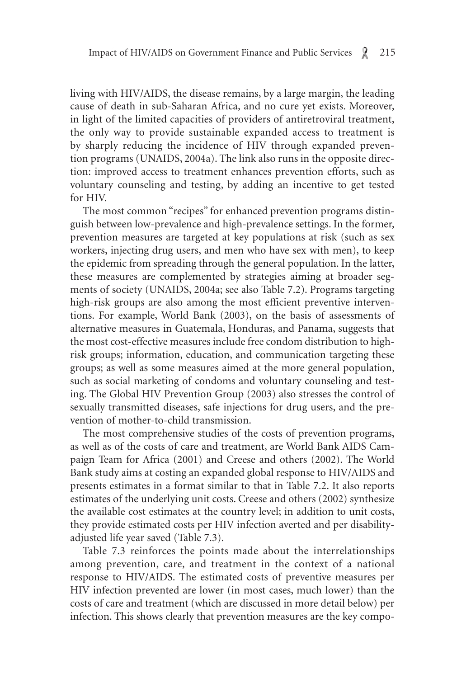living with HIV/AIDS, the disease remains, by a large margin, the leading cause of death in sub-Saharan Africa, and no cure yet exists. Moreover, in light of the limited capacities of providers of antiretroviral treatment, the only way to provide sustainable expanded access to treatment is by sharply reducing the incidence of HIV through expanded prevention programs (UNAIDS, 2004a). The link also runs in the opposite direction: improved access to treatment enhances prevention efforts, such as voluntary counseling and testing, by adding an incentive to get tested for HIV.

The most common "recipes" for enhanced prevention programs distinguish between low-prevalence and high-prevalence settings. In the former, prevention measures are targeted at key populations at risk (such as sex workers, injecting drug users, and men who have sex with men), to keep the epidemic from spreading through the general population. In the latter, these measures are complemented by strategies aiming at broader segments of society (UNAIDS, 2004a; see also Table 7.2). Programs targeting high-risk groups are also among the most efficient preventive interventions. For example, World Bank (2003), on the basis of assessments of alternative measures in Guatemala, Honduras, and Panama, suggests that the most cost-effective measures include free condom distribution to highrisk groups; information, education, and communication targeting these groups; as well as some measures aimed at the more general population, such as social marketing of condoms and voluntary counseling and testing. The Global HIV Prevention Group (2003) also stresses the control of sexually transmitted diseases, safe injections for drug users, and the prevention of mother-to-child transmission.

The most comprehensive studies of the costs of prevention programs, as well as of the costs of care and treatment, are World Bank AIDS Campaign Team for Africa (2001) and Creese and others (2002). The World Bank study aims at costing an expanded global response to HIV/AIDS and presents estimates in a format similar to that in Table 7.2. It also reports estimates of the underlying unit costs. Creese and others (2002) synthesize the available cost estimates at the country level; in addition to unit costs, they provide estimated costs per HIV infection averted and per disabilityadjusted life year saved (Table 7.3).

Table 7.3 reinforces the points made about the interrelationships among prevention, care, and treatment in the context of a national response to HIV/AIDS. The estimated costs of preventive measures per HIV infection prevented are lower (in most cases, much lower) than the costs of care and treatment (which are discussed in more detail below) per infection. This shows clearly that prevention measures are the key compo-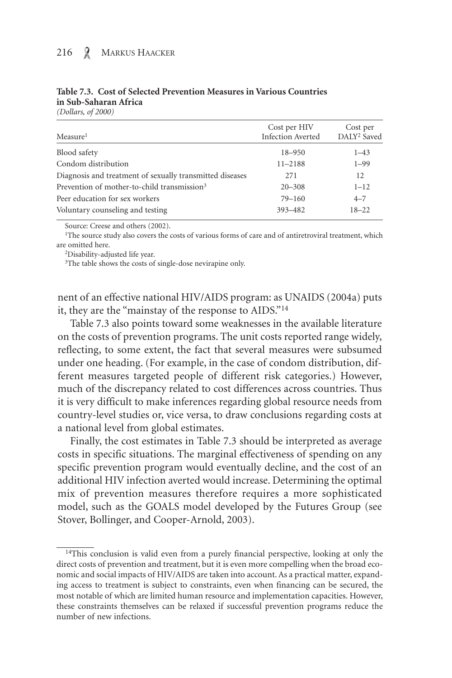| Measure <sup>1</sup>                                     | Cost per HIV<br><b>Infection Averted</b> | Cost per<br>DALY <sup>2</sup> Saved |
|----------------------------------------------------------|------------------------------------------|-------------------------------------|
| Blood safety                                             | $18 - 950$                               | $1 - 43$                            |
| Condom distribution                                      | $11 - 2188$                              | $1 - 99$                            |
| Diagnosis and treatment of sexually transmitted diseases | 271                                      | 12                                  |
| Prevention of mother-to-child transmission <sup>3</sup>  | $20 - 308$                               | $1 - 12$                            |
| Peer education for sex workers                           | $79 - 160$                               | $4 - 7$                             |
| Voluntary counseling and testing                         | 393-482                                  | $18 - 22$                           |
|                                                          |                                          |                                     |

**Table 7.3. Cost of Selected Prevention Measures in Various Countries in Sub-Saharan Africa** *(Dollars, of 2000)*

Source: Creese and others (2002).

<sup>1</sup>The source study also covers the costs of various forms of care and of antiretroviral treatment, which are omitted here.

2Disability-adjusted life year.

<sup>3</sup>The table shows the costs of single-dose nevirapine only.

nent of an effective national HIV/AIDS program: as UNAIDS (2004a) puts it, they are the "mainstay of the response to AIDS."14

Table 7.3 also points toward some weaknesses in the available literature on the costs of prevention programs. The unit costs reported range widely, reflecting, to some extent, the fact that several measures were subsumed under one heading. (For example, in the case of condom distribution, different measures targeted people of different risk categories.) However, much of the discrepancy related to cost differences across countries. Thus it is very difficult to make inferences regarding global resource needs from country-level studies or, vice versa, to draw conclusions regarding costs at a national level from global estimates.

Finally, the cost estimates in Table 7.3 should be interpreted as average costs in specific situations. The marginal effectiveness of spending on any specific prevention program would eventually decline, and the cost of an additional HIV infection averted would increase. Determining the optimal mix of prevention measures therefore requires a more sophisticated model, such as the GOALS model developed by the Futures Group (see Stover, Bollinger, and Cooper-Arnold, 2003).

<sup>&</sup>lt;sup>14</sup>This conclusion is valid even from a purely financial perspective, looking at only the direct costs of prevention and treatment, but it is even more compelling when the broad economic and social impacts of HIV/AIDS are taken into account. As a practical matter, expanding access to treatment is subject to constraints, even when financing can be secured, the most notable of which are limited human resource and implementation capacities. However, these constraints themselves can be relaxed if successful prevention programs reduce the number of new infections.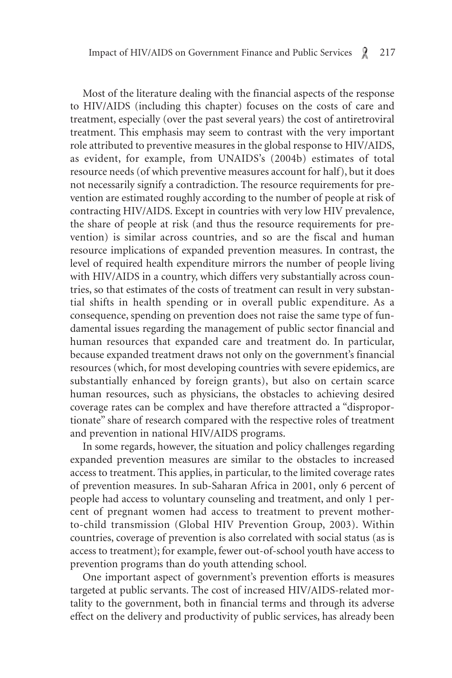Most of the literature dealing with the financial aspects of the response to HIV/AIDS (including this chapter) focuses on the costs of care and treatment, especially (over the past several years) the cost of antiretroviral treatment. This emphasis may seem to contrast with the very important role attributed to preventive measures in the global response to HIV/AIDS, as evident, for example, from UNAIDS's (2004b) estimates of total resource needs (of which preventive measures account for half), but it does not necessarily signify a contradiction. The resource requirements for prevention are estimated roughly according to the number of people at risk of contracting HIV/AIDS. Except in countries with very low HIV prevalence, the share of people at risk (and thus the resource requirements for prevention) is similar across countries, and so are the fiscal and human resource implications of expanded prevention measures. In contrast, the level of required health expenditure mirrors the number of people living with HIV/AIDS in a country, which differs very substantially across countries, so that estimates of the costs of treatment can result in very substantial shifts in health spending or in overall public expenditure. As a consequence, spending on prevention does not raise the same type of fundamental issues regarding the management of public sector financial and human resources that expanded care and treatment do. In particular, because expanded treatment draws not only on the government's financial resources (which, for most developing countries with severe epidemics, are substantially enhanced by foreign grants), but also on certain scarce human resources, such as physicians, the obstacles to achieving desired coverage rates can be complex and have therefore attracted a "disproportionate" share of research compared with the respective roles of treatment and prevention in national HIV/AIDS programs.

In some regards, however, the situation and policy challenges regarding expanded prevention measures are similar to the obstacles to increased access to treatment. This applies, in particular, to the limited coverage rates of prevention measures. In sub-Saharan Africa in 2001, only 6 percent of people had access to voluntary counseling and treatment, and only 1 percent of pregnant women had access to treatment to prevent motherto-child transmission (Global HIV Prevention Group, 2003). Within countries, coverage of prevention is also correlated with social status (as is access to treatment); for example, fewer out-of-school youth have access to prevention programs than do youth attending school.

One important aspect of government's prevention efforts is measures targeted at public servants. The cost of increased HIV/AIDS-related mortality to the government, both in financial terms and through its adverse effect on the delivery and productivity of public services, has already been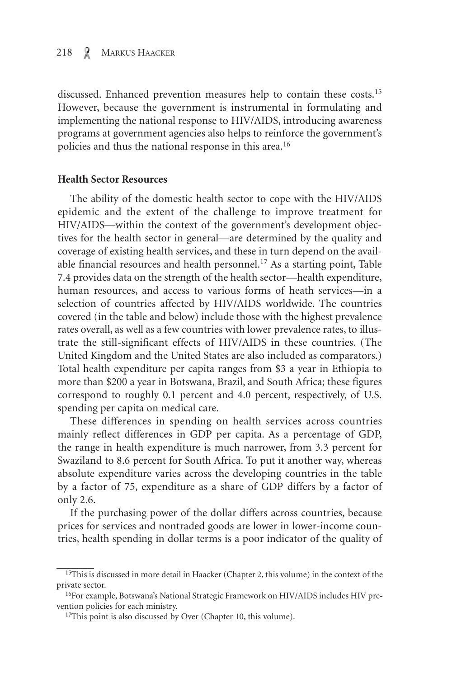discussed. Enhanced prevention measures help to contain these costs.15 However, because the government is instrumental in formulating and implementing the national response to HIV/AIDS, introducing awareness programs at government agencies also helps to reinforce the government's policies and thus the national response in this area.16

# **Health Sector Resources**

The ability of the domestic health sector to cope with the HIV/AIDS epidemic and the extent of the challenge to improve treatment for HIV/AIDS—within the context of the government's development objectives for the health sector in general—are determined by the quality and coverage of existing health services, and these in turn depend on the available financial resources and health personnel.17 As a starting point, Table 7.4 provides data on the strength of the health sector—health expenditure, human resources, and access to various forms of heath services—in a selection of countries affected by HIV/AIDS worldwide. The countries covered (in the table and below) include those with the highest prevalence rates overall, as well as a few countries with lower prevalence rates, to illustrate the still-significant effects of HIV/AIDS in these countries. (The United Kingdom and the United States are also included as comparators.) Total health expenditure per capita ranges from \$3 a year in Ethiopia to more than \$200 a year in Botswana, Brazil, and South Africa; these figures correspond to roughly 0.1 percent and 4.0 percent, respectively, of U.S. spending per capita on medical care.

These differences in spending on health services across countries mainly reflect differences in GDP per capita. As a percentage of GDP, the range in health expenditure is much narrower, from 3.3 percent for Swaziland to 8.6 percent for South Africa. To put it another way, whereas absolute expenditure varies across the developing countries in the table by a factor of 75, expenditure as a share of GDP differs by a factor of only 2.6.

If the purchasing power of the dollar differs across countries, because prices for services and nontraded goods are lower in lower-income countries, health spending in dollar terms is a poor indicator of the quality of

<sup>&</sup>lt;sup>15</sup>This is discussed in more detail in Haacker (Chapter 2, this volume) in the context of the private sector.

<sup>16</sup>For example, Botswana's National Strategic Framework on HIV/AIDS includes HIV prevention policies for each ministry.

<sup>&</sup>lt;sup>17</sup>This point is also discussed by Over (Chapter 10, this volume).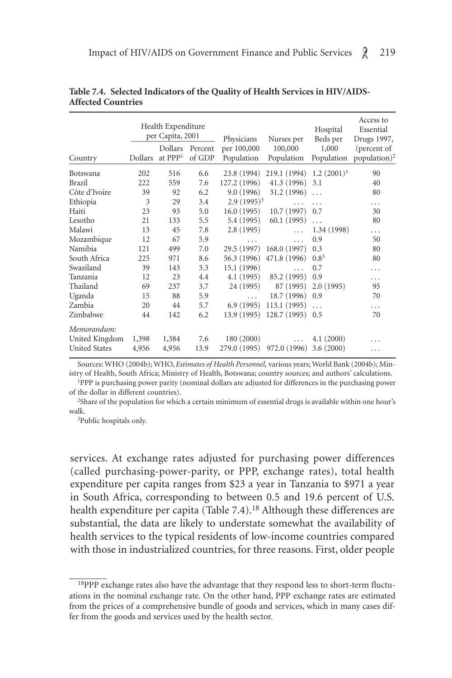|       |                     |         |                                                           |                           | Hospital                                                                                                     | Access to<br>Essential<br>Drugs 1997,                                                           |
|-------|---------------------|---------|-----------------------------------------------------------|---------------------------|--------------------------------------------------------------------------------------------------------------|-------------------------------------------------------------------------------------------------|
|       |                     |         |                                                           |                           |                                                                                                              | (percent of                                                                                     |
|       | at PPP <sup>1</sup> | of GDP  | Population                                                | Population                |                                                                                                              | population) <sup>2</sup>                                                                        |
| 202   | 516                 | 6.6     | 23.8 (1994)                                               |                           |                                                                                                              | 90                                                                                              |
| 222   | 559                 | 7.6     | 127.2 (1996)                                              | 41.3 (1996)               | 3.1                                                                                                          | 40                                                                                              |
| 39    | 92                  | 6.2     |                                                           | 31.2 (1996)               | .                                                                                                            | 80                                                                                              |
| 3     | 29                  | 3.4     |                                                           |                           | .                                                                                                            | .                                                                                               |
| 23    | 93                  | 5.0     |                                                           | 10.7(1997)                | 0.7                                                                                                          | 30                                                                                              |
| 21    | 133                 | 5.5     |                                                           | 60.1 (1995)               | $\cdots$                                                                                                     | 80                                                                                              |
| 13    | 45                  | 7.8     | 2.8(1995)                                                 | .                         | 1.34 (1998)                                                                                                  | .                                                                                               |
| 12    | 67                  | 5.9     | .                                                         | .                         | 0.9                                                                                                          | 50                                                                                              |
| 121   | 499                 | 7.0     | 29.5 (1997)                                               | 168.0 (1997)              | 0.3                                                                                                          | 80                                                                                              |
| 225   | 971                 | 8.6     | 56.3 (1996)                                               | 471.8 (1996)              | 0.8 <sup>3</sup>                                                                                             | 80                                                                                              |
| 39    | 143                 | 3.3     | 15.1 (1996)                                               | $\cdots$                  | 0.7                                                                                                          | .                                                                                               |
| 12    | 23                  | 4.4     |                                                           | 85.2 (1995)               | 0.9                                                                                                          | .                                                                                               |
| 69    | 237                 | 3.7     | 24 (1995)                                                 | 87 (1995)                 | 2.0(1995)                                                                                                    | 95                                                                                              |
| 15    | 88                  | 5.9     |                                                           | 18.7 (1996)               | 0.9                                                                                                          | 70                                                                                              |
| 20    | 44                  | 5.7     | 6.9(1995)                                                 | 113.1 (1995)              | $\cdots$                                                                                                     | .                                                                                               |
| 44    | 142                 | 6.2     | 13.9 (1995)                                               |                           | 0.5                                                                                                          | 70                                                                                              |
|       |                     |         |                                                           |                           |                                                                                                              |                                                                                                 |
| 1,398 | 1,384               | 7.6     | 180 (2000)                                                |                           | 4.1(2000)                                                                                                    |                                                                                                 |
| 4,956 | 4,956               | 13.9    |                                                           |                           | 3.6(2000)                                                                                                    | .                                                                                               |
|       |                     | Dollars | Health Expenditure<br>per Capita, 2001<br>Dollars Percent | Physicians<br>per 100,000 | Nurses per<br>100,000<br>9.0(1996)<br>$2.9(1995)^3$<br>16.0(1995)<br>5.4 (1995)<br>4.1(1995)<br>279.0 (1995) | Beds per<br>1,000<br>Population<br>$219.1(1994)$ 1.2 $(2001)^3$<br>128.7 (1995)<br>972.0 (1996) |

**Table 7.4. Selected Indicators of the Quality of Health Services in HIV/AIDS-Affected Countries**

Sources: WHO (2004b); WHO, *Estimates of Health Personnel,* various years; World Bank (2004b); Ministry of Health, South Africa; Ministry of Health, Botswana; country sources; and authors' calculations.

1PPP is purchasing power parity (nominal dollars are adjusted for differences in the purchasing power of the dollar in different countries).

2Share of the population for which a certain minimum of essential drugs is available within one hour's walk.

3Public hospitals only.

services. At exchange rates adjusted for purchasing power differences (called purchasing-power-parity, or PPP, exchange rates), total health expenditure per capita ranges from \$23 a year in Tanzania to \$971 a year in South Africa, corresponding to between 0.5 and 19.6 percent of U.S. health expenditure per capita (Table 7.4).<sup>18</sup> Although these differences are substantial, the data are likely to understate somewhat the availability of health services to the typical residents of low-income countries compared with those in industrialized countries, for three reasons. First, older people

<sup>&</sup>lt;sup>18</sup>PPP exchange rates also have the advantage that they respond less to short-term fluctuations in the nominal exchange rate. On the other hand, PPP exchange rates are estimated from the prices of a comprehensive bundle of goods and services, which in many cases differ from the goods and services used by the health sector.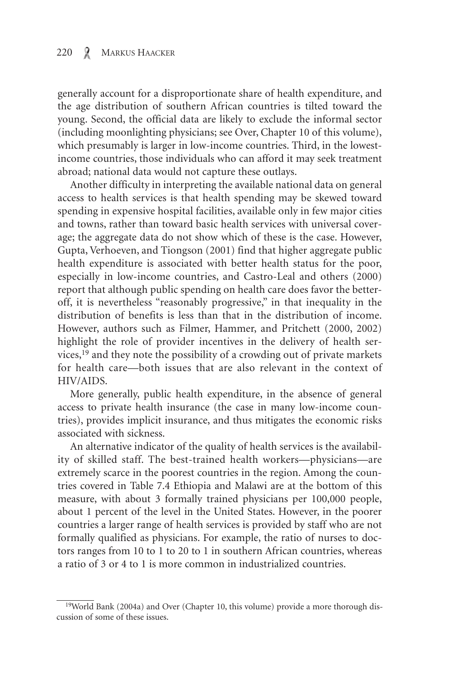generally account for a disproportionate share of health expenditure, and the age distribution of southern African countries is tilted toward the young. Second, the official data are likely to exclude the informal sector (including moonlighting physicians; see Over, Chapter 10 of this volume), which presumably is larger in low-income countries. Third, in the lowestincome countries, those individuals who can afford it may seek treatment abroad; national data would not capture these outlays.

Another difficulty in interpreting the available national data on general access to health services is that health spending may be skewed toward spending in expensive hospital facilities, available only in few major cities and towns, rather than toward basic health services with universal coverage; the aggregate data do not show which of these is the case. However, Gupta, Verhoeven, and Tiongson (2001) find that higher aggregate public health expenditure is associated with better health status for the poor, especially in low-income countries, and Castro-Leal and others (2000) report that although public spending on health care does favor the betteroff, it is nevertheless "reasonably progressive," in that inequality in the distribution of benefits is less than that in the distribution of income. However, authors such as Filmer, Hammer, and Pritchett (2000, 2002) highlight the role of provider incentives in the delivery of health services,19 and they note the possibility of a crowding out of private markets for health care—both issues that are also relevant in the context of HIV/AIDS.

More generally, public health expenditure, in the absence of general access to private health insurance (the case in many low-income countries), provides implicit insurance, and thus mitigates the economic risks associated with sickness.

An alternative indicator of the quality of health services is the availability of skilled staff. The best-trained health workers—physicians—are extremely scarce in the poorest countries in the region. Among the countries covered in Table 7.4 Ethiopia and Malawi are at the bottom of this measure, with about 3 formally trained physicians per 100,000 people, about 1 percent of the level in the United States. However, in the poorer countries a larger range of health services is provided by staff who are not formally qualified as physicians. For example, the ratio of nurses to doctors ranges from 10 to 1 to 20 to 1 in southern African countries, whereas a ratio of 3 or 4 to 1 is more common in industrialized countries.

<sup>19</sup>World Bank (2004a) and Over (Chapter 10, this volume) provide a more thorough discussion of some of these issues.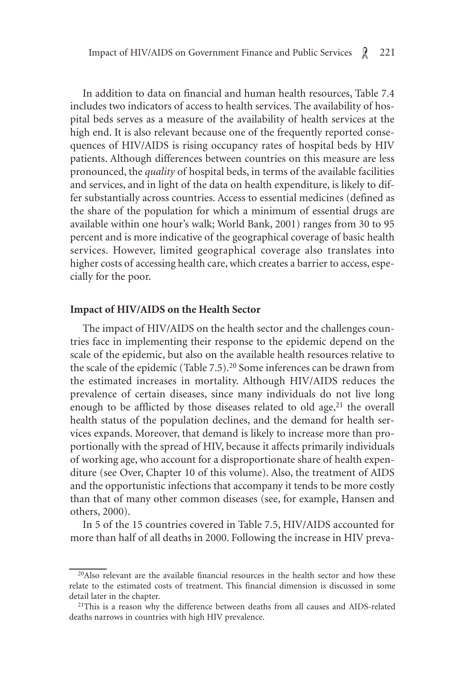In addition to data on financial and human health resources, Table 7.4 includes two indicators of access to health services. The availability of hospital beds serves as a measure of the availability of health services at the high end. It is also relevant because one of the frequently reported consequences of HIV/AIDS is rising occupancy rates of hospital beds by HIV patients. Although differences between countries on this measure are less pronounced, the *quality* of hospital beds, in terms of the available facilities and services, and in light of the data on health expenditure, is likely to differ substantially across countries. Access to essential medicines (defined as the share of the population for which a minimum of essential drugs are available within one hour's walk; World Bank, 2001) ranges from 30 to 95 percent and is more indicative of the geographical coverage of basic health services. However, limited geographical coverage also translates into higher costs of accessing health care, which creates a barrier to access, especially for the poor.

#### **Impact of HIV/AIDS on the Health Sector**

The impact of HIV/AIDS on the health sector and the challenges countries face in implementing their response to the epidemic depend on the scale of the epidemic, but also on the available health resources relative to the scale of the epidemic (Table 7.5).<sup>20</sup> Some inferences can be drawn from the estimated increases in mortality. Although HIV/AIDS reduces the prevalence of certain diseases, since many individuals do not live long enough to be afflicted by those diseases related to old age, $^{21}$  the overall health status of the population declines, and the demand for health services expands. Moreover, that demand is likely to increase more than proportionally with the spread of HIV, because it affects primarily individuals of working age, who account for a disproportionate share of health expenditure (see Over, Chapter 10 of this volume). Also, the treatment of AIDS and the opportunistic infections that accompany it tends to be more costly than that of many other common diseases (see, for example, Hansen and others, 2000).

In 5 of the 15 countries covered in Table 7.5, HIV/AIDS accounted for more than half of all deaths in 2000. Following the increase in HIV preva-

<sup>20</sup>Also relevant are the available financial resources in the health sector and how these relate to the estimated costs of treatment. This financial dimension is discussed in some detail later in the chapter.

<sup>21</sup>This is a reason why the difference between deaths from all causes and AIDS-related deaths narrows in countries with high HIV prevalence.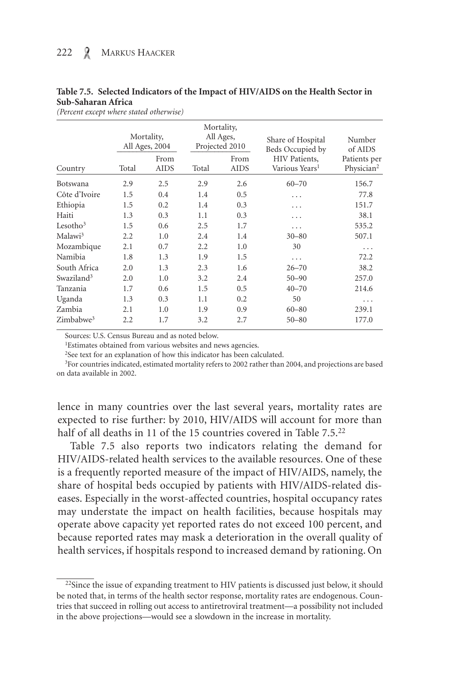|                        |       | Mortality,<br>All Ages, 2004 |       | Mortality,<br>All Ages,<br>Projected 2010 | Share of Hospital<br>Beds Occupied by       | Number<br>of AIDS                      |
|------------------------|-------|------------------------------|-------|-------------------------------------------|---------------------------------------------|----------------------------------------|
| Country                | Total | From<br><b>AIDS</b>          | Total | From<br><b>AIDS</b>                       | HIV Patients,<br>Various Years <sup>1</sup> | Patients per<br>Physician <sup>2</sup> |
| Botswana               | 2.9   | 2.5                          | 2.9   | 2.6                                       | $60 - 70$                                   | 156.7                                  |
| Côte d'Ivoire          | 1.5   | 0.4                          | 1.4   | 0.5                                       | .                                           | 77.8                                   |
| Ethiopia               | 1.5   | 0.2                          | 1.4   | 0.3                                       | .                                           | 151.7                                  |
| Haiti                  | 1.3   | 0.3                          | 1.1   | 0.3                                       | .                                           | 38.1                                   |
| Lesotho <sup>3</sup>   | 1.5   | 0.6                          | 2.5   | 1.7                                       | .                                           | 535.2                                  |
| Malawi <sup>3</sup>    | 2.2   | 1.0                          | 2.4   | 1.4                                       | $30 - 80$                                   | 507.1                                  |
| Mozambique             | 2.1   | 0.7                          | 2.2   | 1.0                                       | 30                                          | .                                      |
| Namibia                | 1.8   | 1.3                          | 1.9   | 1.5                                       | .                                           | 72.2                                   |
| South Africa           | 2.0   | 1.3                          | 2.3   | 1.6                                       | $26 - 70$                                   | 38.2                                   |
| Swaziland <sup>3</sup> | 2.0   | 1.0                          | 3.2   | 2.4                                       | $50 - 90$                                   | 257.0                                  |
| Tanzania               | 1.7   | 0.6                          | 1.5   | 0.5                                       | $40 - 70$                                   | 214.6                                  |
| Uganda                 | 1.3   | 0.3                          | 1.1   | 0.2                                       | 50                                          | .                                      |
| Zambia                 | 2.1   | 1.0                          | 1.9   | 0.9                                       | $60 - 80$                                   | 239.1                                  |
| Zimbabwe <sup>3</sup>  | 2.2   | 1.7                          | 3.2   | 2.7                                       | $50 - 80$                                   | 177.0                                  |

# **Table 7.5. Selected Indicators of the Impact of HIV/AIDS on the Health Sector in Sub-Saharan Africa**

*(Percent except where stated otherwise)*

Sources: U.S. Census Bureau and as noted below.

<sup>1</sup>Estimates obtained from various websites and news agencies.

2See text for an explanation of how this indicator has been calculated.

<sup>3</sup>For countries indicated, estimated mortality refers to 2002 rather than 2004, and projections are based on data available in 2002.

lence in many countries over the last several years, mortality rates are expected to rise further: by 2010, HIV/AIDS will account for more than half of all deaths in 11 of the 15 countries covered in Table 7.5.<sup>22</sup>

Table 7.5 also reports two indicators relating the demand for HIV/AIDS-related health services to the available resources. One of these is a frequently reported measure of the impact of HIV/AIDS, namely, the share of hospital beds occupied by patients with HIV/AIDS-related diseases. Especially in the worst-affected countries, hospital occupancy rates may understate the impact on health facilities, because hospitals may operate above capacity yet reported rates do not exceed 100 percent, and because reported rates may mask a deterioration in the overall quality of health services, if hospitals respond to increased demand by rationing. On

 $^{22}$ Since the issue of expanding treatment to HIV patients is discussed just below, it should be noted that, in terms of the health sector response, mortality rates are endogenous. Countries that succeed in rolling out access to antiretroviral treatment—a possibility not included in the above projections—would see a slowdown in the increase in mortality.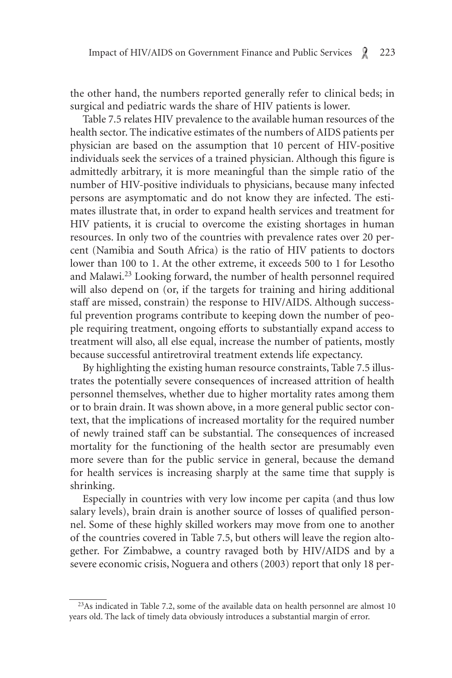the other hand, the numbers reported generally refer to clinical beds; in surgical and pediatric wards the share of HIV patients is lower.

Table 7.5 relates HIV prevalence to the available human resources of the health sector. The indicative estimates of the numbers of AIDS patients per physician are based on the assumption that 10 percent of HIV-positive individuals seek the services of a trained physician. Although this figure is admittedly arbitrary, it is more meaningful than the simple ratio of the number of HIV-positive individuals to physicians, because many infected persons are asymptomatic and do not know they are infected. The estimates illustrate that, in order to expand health services and treatment for HIV patients, it is crucial to overcome the existing shortages in human resources. In only two of the countries with prevalence rates over 20 percent (Namibia and South Africa) is the ratio of HIV patients to doctors lower than 100 to 1. At the other extreme, it exceeds 500 to 1 for Lesotho and Malawi.23 Looking forward, the number of health personnel required will also depend on (or, if the targets for training and hiring additional staff are missed, constrain) the response to HIV/AIDS. Although successful prevention programs contribute to keeping down the number of people requiring treatment, ongoing efforts to substantially expand access to treatment will also, all else equal, increase the number of patients, mostly because successful antiretroviral treatment extends life expectancy.

By highlighting the existing human resource constraints, Table 7.5 illustrates the potentially severe consequences of increased attrition of health personnel themselves, whether due to higher mortality rates among them or to brain drain. It was shown above, in a more general public sector context, that the implications of increased mortality for the required number of newly trained staff can be substantial. The consequences of increased mortality for the functioning of the health sector are presumably even more severe than for the public service in general, because the demand for health services is increasing sharply at the same time that supply is shrinking.

Especially in countries with very low income per capita (and thus low salary levels), brain drain is another source of losses of qualified personnel. Some of these highly skilled workers may move from one to another of the countries covered in Table 7.5, but others will leave the region altogether. For Zimbabwe, a country ravaged both by HIV/AIDS and by a severe economic crisis, Noguera and others (2003) report that only 18 per-

<sup>&</sup>lt;sup>23</sup>As indicated in Table 7.2, some of the available data on health personnel are almost 10 years old. The lack of timely data obviously introduces a substantial margin of error.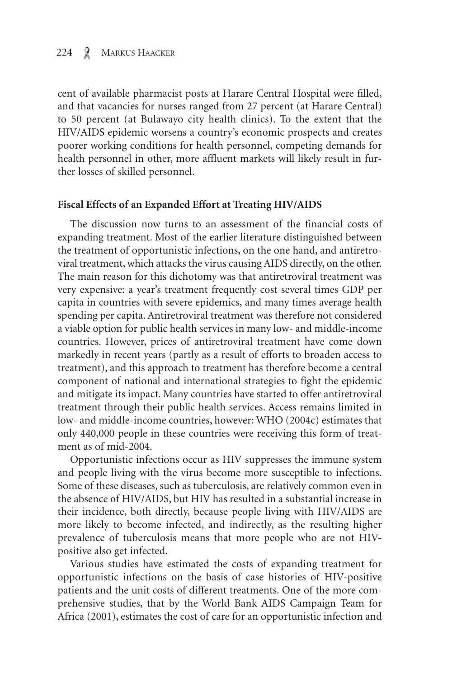cent of available pharmacist posts at Harare Central Hospital were filled, and that vacancies for nurses ranged from 27 percent (at Harare Central) to 50 percent (at Bulawayo city health clinics). To the extent that the HIV/AIDS epidemic worsens a country's economic prospects and creates poorer working conditions for health personnel, competing demands for health personnel in other, more affluent markets will likely result in further losses of skilled personnel.

#### **Fiscal Effects of an Expanded Effort at Treating HIV/AIDS**

The discussion now turns to an assessment of the financial costs of expanding treatment. Most of the earlier literature distinguished between the treatment of opportunistic infections, on the one hand, and antiretroviral treatment, which attacks the virus causing AIDS directly, on the other. The main reason for this dichotomy was that antiretroviral treatment was very expensive: a year's treatment frequently cost several times GDP per capita in countries with severe epidemics, and many times average health spending per capita. Antiretroviral treatment was therefore not considered a viable option for public health services in many low- and middle-income countries. However, prices of antiretroviral treatment have come down markedly in recent years (partly as a result of efforts to broaden access to treatment), and this approach to treatment has therefore become a central component of national and international strategies to fight the epidemic and mitigate its impact. Many countries have started to offer antiretroviral treatment through their public health services. Access remains limited in low- and middle-income countries, however: WHO (2004c) estimates that only 440,000 people in these countries were receiving this form of treatment as of mid-2004.

Opportunistic infections occur as HIV suppresses the immune system and people living with the virus become more susceptible to infections. Some of these diseases, such as tuberculosis, are relatively common even in the absence of HIV/AIDS, but HIV has resulted in a substantial increase in their incidence, both directly, because people living with HIV/AIDS are more likely to become infected, and indirectly, as the resulting higher prevalence of tuberculosis means that more people who are not HIVpositive also get infected.

Various studies have estimated the costs of expanding treatment for opportunistic infections on the basis of case histories of HIV-positive patients and the unit costs of different treatments. One of the more comprehensive studies, that by the World Bank AIDS Campaign Team for Africa (2001), estimates the cost of care for an opportunistic infection and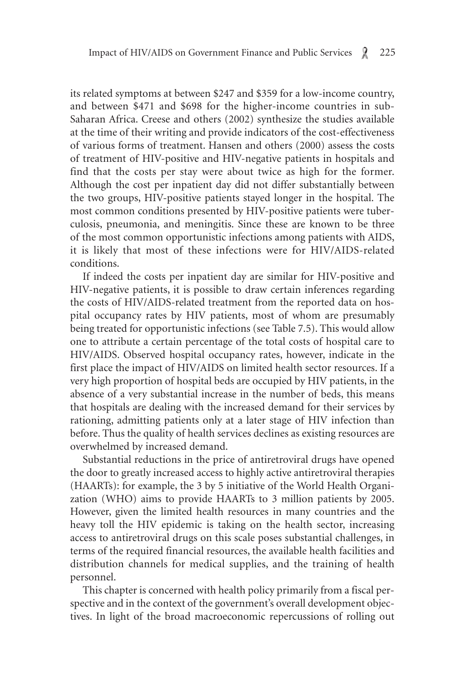its related symptoms at between \$247 and \$359 for a low-income country, and between \$471 and \$698 for the higher-income countries in sub-Saharan Africa. Creese and others (2002) synthesize the studies available at the time of their writing and provide indicators of the cost-effectiveness of various forms of treatment. Hansen and others (2000) assess the costs of treatment of HIV-positive and HIV-negative patients in hospitals and find that the costs per stay were about twice as high for the former. Although the cost per inpatient day did not differ substantially between the two groups, HIV-positive patients stayed longer in the hospital. The most common conditions presented by HIV-positive patients were tuberculosis, pneumonia, and meningitis. Since these are known to be three of the most common opportunistic infections among patients with AIDS, it is likely that most of these infections were for HIV/AIDS-related conditions.

If indeed the costs per inpatient day are similar for HIV-positive and HIV-negative patients, it is possible to draw certain inferences regarding the costs of HIV/AIDS-related treatment from the reported data on hospital occupancy rates by HIV patients, most of whom are presumably being treated for opportunistic infections (see Table 7.5). This would allow one to attribute a certain percentage of the total costs of hospital care to HIV/AIDS. Observed hospital occupancy rates, however, indicate in the first place the impact of HIV/AIDS on limited health sector resources. If a very high proportion of hospital beds are occupied by HIV patients, in the absence of a very substantial increase in the number of beds, this means that hospitals are dealing with the increased demand for their services by rationing, admitting patients only at a later stage of HIV infection than before. Thus the quality of health services declines as existing resources are overwhelmed by increased demand.

Substantial reductions in the price of antiretroviral drugs have opened the door to greatly increased access to highly active antiretroviral therapies (HAARTs): for example, the 3 by 5 initiative of the World Health Organization (WHO) aims to provide HAARTs to 3 million patients by 2005. However, given the limited health resources in many countries and the heavy toll the HIV epidemic is taking on the health sector, increasing access to antiretroviral drugs on this scale poses substantial challenges, in terms of the required financial resources, the available health facilities and distribution channels for medical supplies, and the training of health personnel.

This chapter is concerned with health policy primarily from a fiscal perspective and in the context of the government's overall development objectives. In light of the broad macroeconomic repercussions of rolling out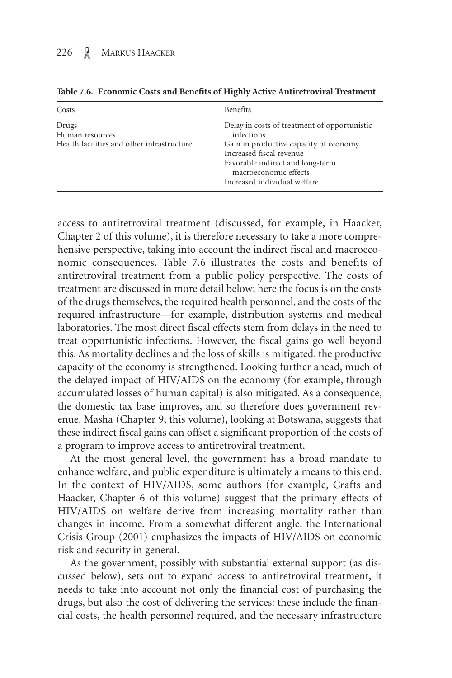| Costs                                                                  | <b>Benefits</b>                                                                                                                                                                                                               |
|------------------------------------------------------------------------|-------------------------------------------------------------------------------------------------------------------------------------------------------------------------------------------------------------------------------|
| Drugs<br>Human resources<br>Health facilities and other infrastructure | Delay in costs of treatment of opportunistic<br>infections<br>Gain in productive capacity of economy<br>Increased fiscal revenue<br>Favorable indirect and long-term<br>macroeconomic effects<br>Increased individual welfare |

**Table 7.6. Economic Costs and Benefits of Highly Active Antiretroviral Treatment**

access to antiretroviral treatment (discussed, for example, in Haacker, Chapter 2 of this volume), it is therefore necessary to take a more comprehensive perspective, taking into account the indirect fiscal and macroeconomic consequences. Table 7.6 illustrates the costs and benefits of antiretroviral treatment from a public policy perspective. The costs of treatment are discussed in more detail below; here the focus is on the costs of the drugs themselves, the required health personnel, and the costs of the required infrastructure—for example, distribution systems and medical laboratories. The most direct fiscal effects stem from delays in the need to treat opportunistic infections. However, the fiscal gains go well beyond this. As mortality declines and the loss of skills is mitigated, the productive capacity of the economy is strengthened. Looking further ahead, much of the delayed impact of HIV/AIDS on the economy (for example, through accumulated losses of human capital) is also mitigated. As a consequence, the domestic tax base improves, and so therefore does government revenue. Masha (Chapter 9, this volume), looking at Botswana, suggests that these indirect fiscal gains can offset a significant proportion of the costs of a program to improve access to antiretroviral treatment.

At the most general level, the government has a broad mandate to enhance welfare, and public expenditure is ultimately a means to this end. In the context of HIV/AIDS, some authors (for example, Crafts and Haacker, Chapter 6 of this volume) suggest that the primary effects of HIV/AIDS on welfare derive from increasing mortality rather than changes in income. From a somewhat different angle, the International Crisis Group (2001) emphasizes the impacts of HIV/AIDS on economic risk and security in general.

As the government, possibly with substantial external support (as discussed below), sets out to expand access to antiretroviral treatment, it needs to take into account not only the financial cost of purchasing the drugs, but also the cost of delivering the services: these include the financial costs, the health personnel required, and the necessary infrastructure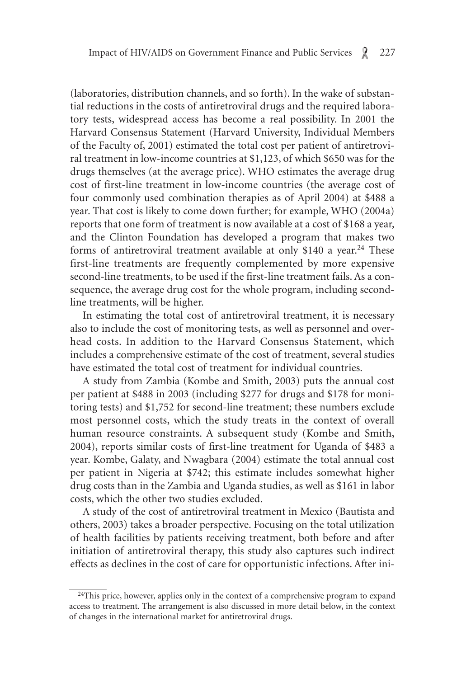(laboratories, distribution channels, and so forth). In the wake of substantial reductions in the costs of antiretroviral drugs and the required laboratory tests, widespread access has become a real possibility. In 2001 the Harvard Consensus Statement (Harvard University, Individual Members of the Faculty of, 2001) estimated the total cost per patient of antiretroviral treatment in low-income countries at \$1,123, of which \$650 was for the drugs themselves (at the average price). WHO estimates the average drug cost of first-line treatment in low-income countries (the average cost of four commonly used combination therapies as of April 2004) at \$488 a year. That cost is likely to come down further; for example, WHO (2004a) reports that one form of treatment is now available at a cost of \$168 a year, and the Clinton Foundation has developed a program that makes two forms of antiretroviral treatment available at only  $$140$  a year.<sup>24</sup> These first-line treatments are frequently complemented by more expensive second-line treatments, to be used if the first-line treatment fails. As a consequence, the average drug cost for the whole program, including secondline treatments, will be higher.

In estimating the total cost of antiretroviral treatment, it is necessary also to include the cost of monitoring tests, as well as personnel and overhead costs. In addition to the Harvard Consensus Statement, which includes a comprehensive estimate of the cost of treatment, several studies have estimated the total cost of treatment for individual countries.

A study from Zambia (Kombe and Smith, 2003) puts the annual cost per patient at \$488 in 2003 (including \$277 for drugs and \$178 for monitoring tests) and \$1,752 for second-line treatment; these numbers exclude most personnel costs, which the study treats in the context of overall human resource constraints. A subsequent study (Kombe and Smith, 2004), reports similar costs of first-line treatment for Uganda of \$483 a year. Kombe, Galaty, and Nwagbara (2004) estimate the total annual cost per patient in Nigeria at \$742; this estimate includes somewhat higher drug costs than in the Zambia and Uganda studies, as well as \$161 in labor costs, which the other two studies excluded.

A study of the cost of antiretroviral treatment in Mexico (Bautista and others, 2003) takes a broader perspective. Focusing on the total utilization of health facilities by patients receiving treatment, both before and after initiation of antiretroviral therapy, this study also captures such indirect effects as declines in the cost of care for opportunistic infections. After ini-

<sup>&</sup>lt;sup>24</sup>This price, however, applies only in the context of a comprehensive program to expand access to treatment. The arrangement is also discussed in more detail below, in the context of changes in the international market for antiretroviral drugs.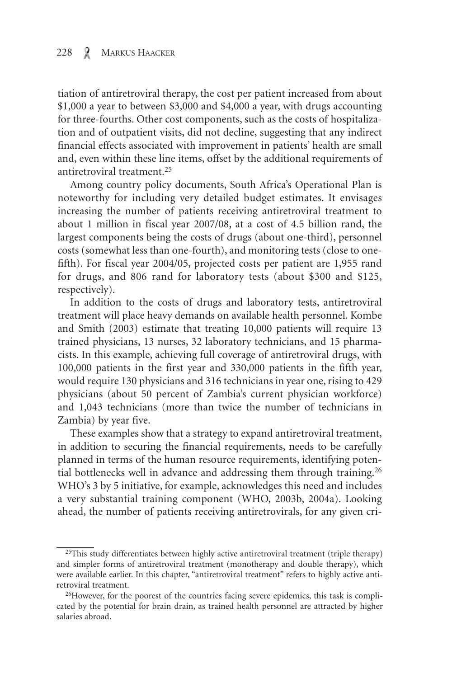tiation of antiretroviral therapy, the cost per patient increased from about \$1,000 a year to between \$3,000 and \$4,000 a year, with drugs accounting for three-fourths. Other cost components, such as the costs of hospitalization and of outpatient visits, did not decline, suggesting that any indirect financial effects associated with improvement in patients' health are small and, even within these line items, offset by the additional requirements of antiretroviral treatment.25

Among country policy documents, South Africa's Operational Plan is noteworthy for including very detailed budget estimates. It envisages increasing the number of patients receiving antiretroviral treatment to about 1 million in fiscal year 2007/08, at a cost of 4.5 billion rand, the largest components being the costs of drugs (about one-third), personnel costs (somewhat less than one-fourth), and monitoring tests (close to onefifth). For fiscal year 2004/05, projected costs per patient are 1,955 rand for drugs, and 806 rand for laboratory tests (about \$300 and \$125, respectively).

In addition to the costs of drugs and laboratory tests, antiretroviral treatment will place heavy demands on available health personnel. Kombe and Smith (2003) estimate that treating 10,000 patients will require 13 trained physicians, 13 nurses, 32 laboratory technicians, and 15 pharmacists. In this example, achieving full coverage of antiretroviral drugs, with 100,000 patients in the first year and 330,000 patients in the fifth year, would require 130 physicians and 316 technicians in year one, rising to 429 physicians (about 50 percent of Zambia's current physician workforce) and 1,043 technicians (more than twice the number of technicians in Zambia) by year five.

These examples show that a strategy to expand antiretroviral treatment, in addition to securing the financial requirements, needs to be carefully planned in terms of the human resource requirements, identifying potential bottlenecks well in advance and addressing them through training.<sup>26</sup> WHO's 3 by 5 initiative, for example, acknowledges this need and includes a very substantial training component (WHO, 2003b, 2004a). Looking ahead, the number of patients receiving antiretrovirals, for any given cri-

<sup>&</sup>lt;sup>25</sup>This study differentiates between highly active antiretroviral treatment (triple therapy) and simpler forms of antiretroviral treatment (monotherapy and double therapy), which were available earlier. In this chapter, "antiretroviral treatment" refers to highly active antiretroviral treatment.

<sup>&</sup>lt;sup>26</sup>However, for the poorest of the countries facing severe epidemics, this task is complicated by the potential for brain drain, as trained health personnel are attracted by higher salaries abroad.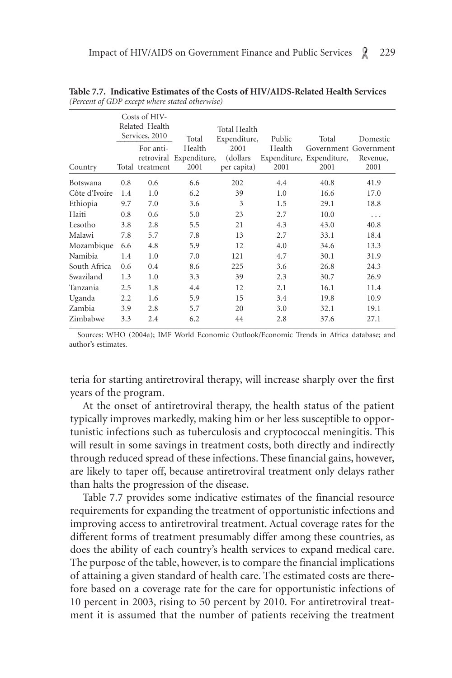|               |     | Costs of HIV-<br>Related Health<br>Services, 2010 | Total                                     | Total Health<br>Expenditure,     | Public         | Total                             | Domestic                                  |
|---------------|-----|---------------------------------------------------|-------------------------------------------|----------------------------------|----------------|-----------------------------------|-------------------------------------------|
| Country       |     | For anti-<br>Total treatment                      | Health<br>retroviral Expenditure,<br>2001 | 2001<br>(dollars)<br>per capita) | Health<br>2001 | Expenditure, Expenditure,<br>2001 | Government Government<br>Revenue,<br>2001 |
| Botswana      | 0.8 | 0.6                                               | 6.6                                       | 202                              | 4.4            | 40.8                              | 41.9                                      |
| Côte d'Ivoire | 1.4 | 1.0                                               | 6.2                                       | 39                               | 1.0            | 16.6                              | 17.0                                      |
| Ethiopia      | 9.7 | 7.0                                               | 3.6                                       | 3                                | 1.5            | 29.1                              | 18.8                                      |
| Haiti         | 0.8 | 0.6                                               | 5.0                                       | 23                               | 2.7            | 10.0                              | .                                         |
| Lesotho       | 3.8 | 2.8                                               | 5.5                                       | 21                               | 4.3            | 43.0                              | 40.8                                      |
| Malawi        | 7.8 | 5.7                                               | 7.8                                       | 13                               | 2.7            | 33.1                              | 18.4                                      |
| Mozambique    | 6.6 | 4.8                                               | 5.9                                       | 12                               | 4.0            | 34.6                              | 13.3                                      |
| Namibia       | 1.4 | 1.0                                               | 7.0                                       | 121                              | 4.7            | 30.1                              | 31.9                                      |
| South Africa  | 0.6 | 0.4                                               | 8.6                                       | 225                              | 3.6            | 26.8                              | 24.3                                      |
| Swaziland     | 1.3 | 1.0                                               | 3.3                                       | 39                               | 2.3            | 30.7                              | 26.9                                      |
| Tanzania      | 2.5 | 1.8                                               | 4.4                                       | 12                               | 2.1            | 16.1                              | 11.4                                      |
| Uganda        | 2.2 | 1.6                                               | 5.9                                       | 15                               | 3.4            | 19.8                              | 10.9                                      |
| Zambia        | 3.9 | 2.8                                               | 5.7                                       | 20                               | 3.0            | 32.1                              | 19.1                                      |
| Zimbabwe      | 3.3 | 2.4                                               | 6.2                                       | 44                               | 2.8            | 37.6                              | 27.1                                      |

**Table 7.7. Indicative Estimates of the Costs of HIV/AIDS-Related Health Services** *(Percent of GDP except where stated otherwise)*

Sources: WHO (2004a); IMF World Economic Outlook/Economic Trends in Africa database; and author's estimates.

teria for starting antiretroviral therapy, will increase sharply over the first years of the program.

At the onset of antiretroviral therapy, the health status of the patient typically improves markedly, making him or her less susceptible to opportunistic infections such as tuberculosis and cryptococcal meningitis. This will result in some savings in treatment costs, both directly and indirectly through reduced spread of these infections. These financial gains, however, are likely to taper off, because antiretroviral treatment only delays rather than halts the progression of the disease.

Table 7.7 provides some indicative estimates of the financial resource requirements for expanding the treatment of opportunistic infections and improving access to antiretroviral treatment. Actual coverage rates for the different forms of treatment presumably differ among these countries, as does the ability of each country's health services to expand medical care. The purpose of the table, however, is to compare the financial implications of attaining a given standard of health care. The estimated costs are therefore based on a coverage rate for the care for opportunistic infections of 10 percent in 2003, rising to 50 percent by 2010. For antiretroviral treatment it is assumed that the number of patients receiving the treatment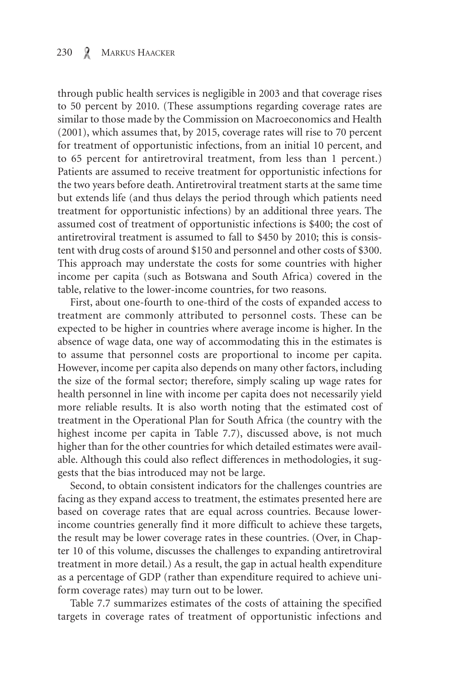through public health services is negligible in 2003 and that coverage rises to 50 percent by 2010. (These assumptions regarding coverage rates are similar to those made by the Commission on Macroeconomics and Health (2001), which assumes that, by 2015, coverage rates will rise to 70 percent for treatment of opportunistic infections, from an initial 10 percent, and to 65 percent for antiretroviral treatment, from less than 1 percent.) Patients are assumed to receive treatment for opportunistic infections for the two years before death. Antiretroviral treatment starts at the same time but extends life (and thus delays the period through which patients need treatment for opportunistic infections) by an additional three years. The assumed cost of treatment of opportunistic infections is \$400; the cost of antiretroviral treatment is assumed to fall to \$450 by 2010; this is consistent with drug costs of around \$150 and personnel and other costs of \$300. This approach may understate the costs for some countries with higher income per capita (such as Botswana and South Africa) covered in the table, relative to the lower-income countries, for two reasons.

First, about one-fourth to one-third of the costs of expanded access to treatment are commonly attributed to personnel costs. These can be expected to be higher in countries where average income is higher. In the absence of wage data, one way of accommodating this in the estimates is to assume that personnel costs are proportional to income per capita. However, income per capita also depends on many other factors, including the size of the formal sector; therefore, simply scaling up wage rates for health personnel in line with income per capita does not necessarily yield more reliable results. It is also worth noting that the estimated cost of treatment in the Operational Plan for South Africa (the country with the highest income per capita in Table 7.7), discussed above, is not much higher than for the other countries for which detailed estimates were available. Although this could also reflect differences in methodologies, it suggests that the bias introduced may not be large.

Second, to obtain consistent indicators for the challenges countries are facing as they expand access to treatment, the estimates presented here are based on coverage rates that are equal across countries. Because lowerincome countries generally find it more difficult to achieve these targets, the result may be lower coverage rates in these countries. (Over, in Chapter 10 of this volume, discusses the challenges to expanding antiretroviral treatment in more detail.) As a result, the gap in actual health expenditure as a percentage of GDP (rather than expenditure required to achieve uniform coverage rates) may turn out to be lower.

Table 7.7 summarizes estimates of the costs of attaining the specified targets in coverage rates of treatment of opportunistic infections and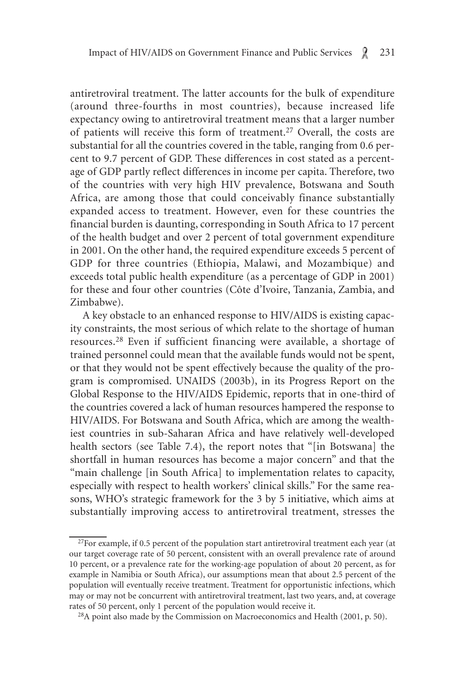antiretroviral treatment. The latter accounts for the bulk of expenditure (around three-fourths in most countries), because increased life expectancy owing to antiretroviral treatment means that a larger number of patients will receive this form of treatment.<sup>27</sup> Overall, the costs are substantial for all the countries covered in the table, ranging from 0.6 percent to 9.7 percent of GDP. These differences in cost stated as a percentage of GDP partly reflect differences in income per capita. Therefore, two of the countries with very high HIV prevalence, Botswana and South Africa, are among those that could conceivably finance substantially expanded access to treatment. However, even for these countries the financial burden is daunting, corresponding in South Africa to 17 percent of the health budget and over 2 percent of total government expenditure in 2001. On the other hand, the required expenditure exceeds 5 percent of GDP for three countries (Ethiopia, Malawi, and Mozambique) and exceeds total public health expenditure (as a percentage of GDP in 2001) for these and four other countries (Côte d'Ivoire, Tanzania, Zambia, and Zimbabwe).

A key obstacle to an enhanced response to HIV/AIDS is existing capacity constraints, the most serious of which relate to the shortage of human resources.28 Even if sufficient financing were available, a shortage of trained personnel could mean that the available funds would not be spent, or that they would not be spent effectively because the quality of the program is compromised. UNAIDS (2003b), in its Progress Report on the Global Response to the HIV/AIDS Epidemic, reports that in one-third of the countries covered a lack of human resources hampered the response to HIV/AIDS. For Botswana and South Africa, which are among the wealthiest countries in sub-Saharan Africa and have relatively well-developed health sectors (see Table 7.4), the report notes that "[in Botswana] the shortfall in human resources has become a major concern" and that the "main challenge [in South Africa] to implementation relates to capacity, especially with respect to health workers' clinical skills." For the same reasons, WHO's strategic framework for the 3 by 5 initiative, which aims at substantially improving access to antiretroviral treatment, stresses the

<sup>&</sup>lt;sup>27</sup>For example, if 0.5 percent of the population start antiretroviral treatment each year (at our target coverage rate of 50 percent, consistent with an overall prevalence rate of around 10 percent, or a prevalence rate for the working-age population of about 20 percent, as for example in Namibia or South Africa), our assumptions mean that about 2.5 percent of the population will eventually receive treatment. Treatment for opportunistic infections, which may or may not be concurrent with antiretroviral treatment, last two years, and, at coverage rates of 50 percent, only 1 percent of the population would receive it.

<sup>28</sup>A point also made by the Commission on Macroeconomics and Health (2001, p. 50).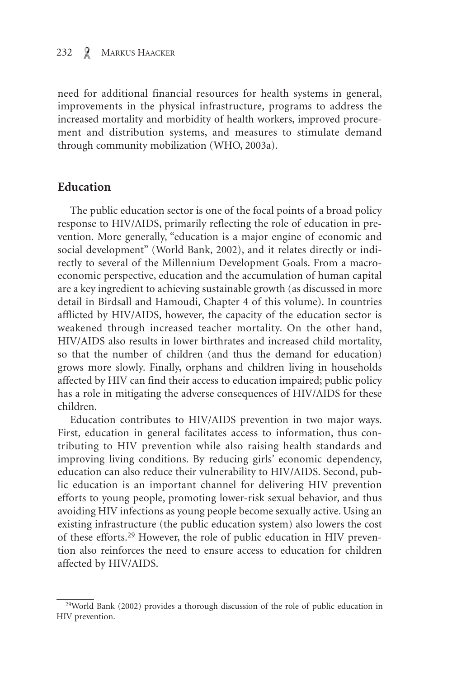need for additional financial resources for health systems in general, improvements in the physical infrastructure, programs to address the increased mortality and morbidity of health workers, improved procurement and distribution systems, and measures to stimulate demand through community mobilization (WHO, 2003a).

# **Education**

The public education sector is one of the focal points of a broad policy response to HIV/AIDS, primarily reflecting the role of education in prevention. More generally, "education is a major engine of economic and social development" (World Bank, 2002), and it relates directly or indirectly to several of the Millennium Development Goals. From a macroeconomic perspective, education and the accumulation of human capital are a key ingredient to achieving sustainable growth (as discussed in more detail in Birdsall and Hamoudi, Chapter 4 of this volume). In countries afflicted by HIV/AIDS, however, the capacity of the education sector is weakened through increased teacher mortality. On the other hand, HIV/AIDS also results in lower birthrates and increased child mortality, so that the number of children (and thus the demand for education) grows more slowly. Finally, orphans and children living in households affected by HIV can find their access to education impaired; public policy has a role in mitigating the adverse consequences of HIV/AIDS for these children.

Education contributes to HIV/AIDS prevention in two major ways. First, education in general facilitates access to information, thus contributing to HIV prevention while also raising health standards and improving living conditions. By reducing girls' economic dependency, education can also reduce their vulnerability to HIV/AIDS. Second, public education is an important channel for delivering HIV prevention efforts to young people, promoting lower-risk sexual behavior, and thus avoiding HIV infections as young people become sexually active. Using an existing infrastructure (the public education system) also lowers the cost of these efforts.29 However, the role of public education in HIV prevention also reinforces the need to ensure access to education for children affected by HIV/AIDS.

<sup>29</sup>World Bank (2002) provides a thorough discussion of the role of public education in HIV prevention.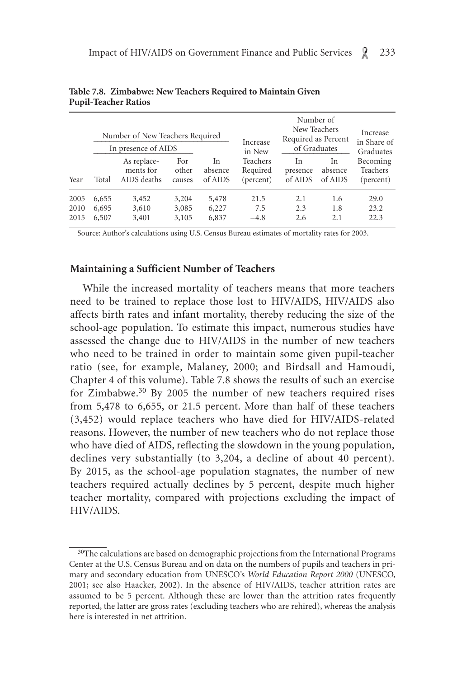|                      |                         | Number of New Teachers Required<br>In presence of AIDS |                         |                          | Increase<br>in New                       | Number of<br>New Teachers<br>Required as Percent<br>of Graduates | Increase<br>in Share of<br>Graduates |                                   |
|----------------------|-------------------------|--------------------------------------------------------|-------------------------|--------------------------|------------------------------------------|------------------------------------------------------------------|--------------------------------------|-----------------------------------|
| Year                 | Total                   | As replace-<br>ments for<br>AIDS deaths                | For<br>other<br>causes  | In<br>absence<br>of AIDS | <b>Teachers</b><br>Required<br>(percent) | In<br>presence<br>of AIDS                                        | In<br>absence<br>of AIDS             | Becoming<br>Teachers<br>(percent) |
| 2005<br>2010<br>2015 | 6,655<br>6,695<br>6,507 | 3,452<br>3,610<br>3,401                                | 3,204<br>3,085<br>3,105 | 5,478<br>6,227<br>6,837  | 21.5<br>7.5<br>$-4.8$                    | 2.1<br>2.3<br>2.6                                                | 1.6<br>1.8<br>2.1                    | 29.0<br>23.2<br>22.3              |

**Table 7.8. Zimbabwe: New Teachers Required to Maintain Given Pupil-Teacher Ratios**

Source: Author's calculations using U.S. Census Bureau estimates of mortality rates for 2003.

#### **Maintaining a Sufficient Number of Teachers**

While the increased mortality of teachers means that more teachers need to be trained to replace those lost to HIV/AIDS, HIV/AIDS also affects birth rates and infant mortality, thereby reducing the size of the school-age population. To estimate this impact, numerous studies have assessed the change due to HIV/AIDS in the number of new teachers who need to be trained in order to maintain some given pupil-teacher ratio (see, for example, Malaney, 2000; and Birdsall and Hamoudi, Chapter 4 of this volume). Table 7.8 shows the results of such an exercise for Zimbabwe.<sup>30</sup> By 2005 the number of new teachers required rises from 5,478 to 6,655, or 21.5 percent. More than half of these teachers (3,452) would replace teachers who have died for HIV/AIDS-related reasons. However, the number of new teachers who do not replace those who have died of AIDS, reflecting the slowdown in the young population, declines very substantially (to 3,204, a decline of about 40 percent). By 2015, as the school-age population stagnates, the number of new teachers required actually declines by 5 percent, despite much higher teacher mortality, compared with projections excluding the impact of HIV/AIDS.

<sup>&</sup>lt;sup>30</sup>The calculations are based on demographic projections from the International Programs Center at the U.S. Census Bureau and on data on the numbers of pupils and teachers in primary and secondary education from UNESCO's *World Education Report 2000* (UNESCO, 2001; see also Haacker, 2002). In the absence of HIV/AIDS, teacher attrition rates are assumed to be 5 percent. Although these are lower than the attrition rates frequently reported, the latter are gross rates (excluding teachers who are rehired), whereas the analysis here is interested in net attrition.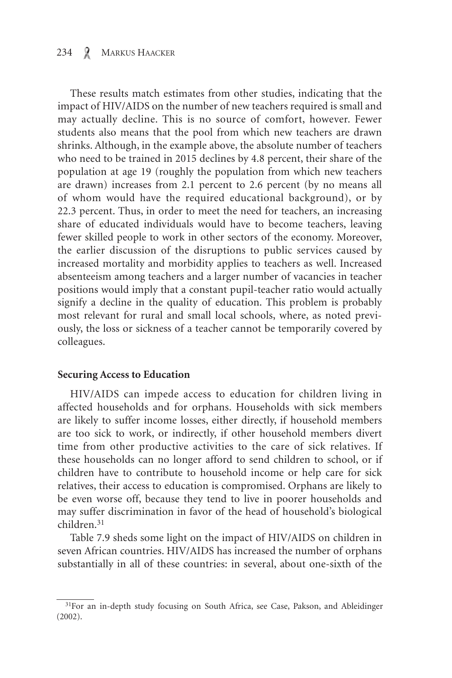These results match estimates from other studies, indicating that the impact of HIV/AIDS on the number of new teachers required is small and may actually decline. This is no source of comfort, however. Fewer students also means that the pool from which new teachers are drawn shrinks. Although, in the example above, the absolute number of teachers who need to be trained in 2015 declines by 4.8 percent, their share of the population at age 19 (roughly the population from which new teachers are drawn) increases from 2.1 percent to 2.6 percent (by no means all of whom would have the required educational background), or by 22.3 percent. Thus, in order to meet the need for teachers, an increasing share of educated individuals would have to become teachers, leaving fewer skilled people to work in other sectors of the economy. Moreover, the earlier discussion of the disruptions to public services caused by increased mortality and morbidity applies to teachers as well. Increased absenteeism among teachers and a larger number of vacancies in teacher positions would imply that a constant pupil-teacher ratio would actually signify a decline in the quality of education. This problem is probably most relevant for rural and small local schools, where, as noted previously, the loss or sickness of a teacher cannot be temporarily covered by colleagues.

#### **Securing Access to Education**

HIV/AIDS can impede access to education for children living in affected households and for orphans. Households with sick members are likely to suffer income losses, either directly, if household members are too sick to work, or indirectly, if other household members divert time from other productive activities to the care of sick relatives. If these households can no longer afford to send children to school, or if children have to contribute to household income or help care for sick relatives, their access to education is compromised. Orphans are likely to be even worse off, because they tend to live in poorer households and may suffer discrimination in favor of the head of household's biological children<sup>31</sup>

Table 7.9 sheds some light on the impact of HIV/AIDS on children in seven African countries. HIV/AIDS has increased the number of orphans substantially in all of these countries: in several, about one-sixth of the

<sup>31</sup>For an in-depth study focusing on South Africa, see Case, Pakson, and Ableidinger (2002).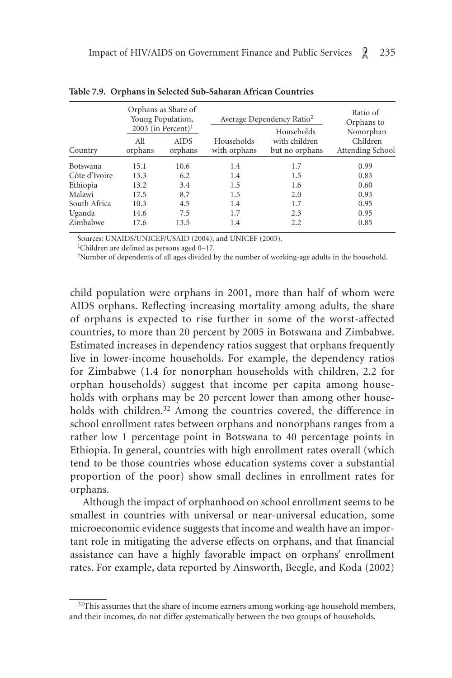|                 |                | Orphans as Share of<br>Young Population,<br>$2003$ (in Percent) <sup>1</sup> |                            | Average Dependency Ratio <sup>2</sup><br>Households | Ratio of<br>Orphans to<br>Nonorphan |      |      |
|-----------------|----------------|------------------------------------------------------------------------------|----------------------------|-----------------------------------------------------|-------------------------------------|------|------|
| Country         | All<br>orphans | <b>AIDS</b><br>orphans                                                       | Households<br>with orphans | with children<br>but no orphans                     | Children<br>Attending School        |      |      |
| <b>Botswana</b> | 15.1           | 10.6                                                                         | 1.4                        | 1.7                                                 | 0.99                                |      |      |
| Côte d'Ivoire   | 13.3           | 6.2                                                                          | 1.4                        | 1.5                                                 | 0.83                                |      |      |
| Ethiopia        | 13.2           | 3.4                                                                          | 1.5<br>1.6                 | 1.5<br>2.0                                          |                                     | 0.60 |      |
| Malawi          | 17.5           | 8.7                                                                          |                            |                                                     |                                     |      | 0.93 |
| South Africa    | 10.3           | 4.5                                                                          | 1.4                        | 1.7                                                 | 0.95                                |      |      |
| Uganda          | 14.6           | 7.5                                                                          | 1.7                        | 2.3                                                 | 0.95                                |      |      |
| Zimbabwe        | 17.6           | 13.5                                                                         | 1.4                        | 2.2                                                 | 0.85                                |      |      |

**Table 7.9. Orphans in Selected Sub-Saharan African Countries**

Sources: UNAIDS/UNICEF/USAID (2004); and UNICEF (2003).

1Children are defined as persons aged 0–17.

2Number of dependents of all ages divided by the number of working-age adults in the household.

child population were orphans in 2001, more than half of whom were AIDS orphans. Reflecting increasing mortality among adults, the share of orphans is expected to rise further in some of the worst-affected countries, to more than 20 percent by 2005 in Botswana and Zimbabwe. Estimated increases in dependency ratios suggest that orphans frequently live in lower-income households. For example, the dependency ratios for Zimbabwe (1.4 for nonorphan households with children, 2.2 for orphan households) suggest that income per capita among households with orphans may be 20 percent lower than among other households with children.<sup>32</sup> Among the countries covered, the difference in school enrollment rates between orphans and nonorphans ranges from a rather low 1 percentage point in Botswana to 40 percentage points in Ethiopia. In general, countries with high enrollment rates overall (which tend to be those countries whose education systems cover a substantial proportion of the poor) show small declines in enrollment rates for orphans.

Although the impact of orphanhood on school enrollment seems to be smallest in countries with universal or near-universal education, some microeconomic evidence suggests that income and wealth have an important role in mitigating the adverse effects on orphans, and that financial assistance can have a highly favorable impact on orphans' enrollment rates. For example, data reported by Ainsworth, Beegle, and Koda (2002)

<sup>&</sup>lt;sup>32</sup>This assumes that the share of income earners among working-age household members, and their incomes, do not differ systematically between the two groups of households.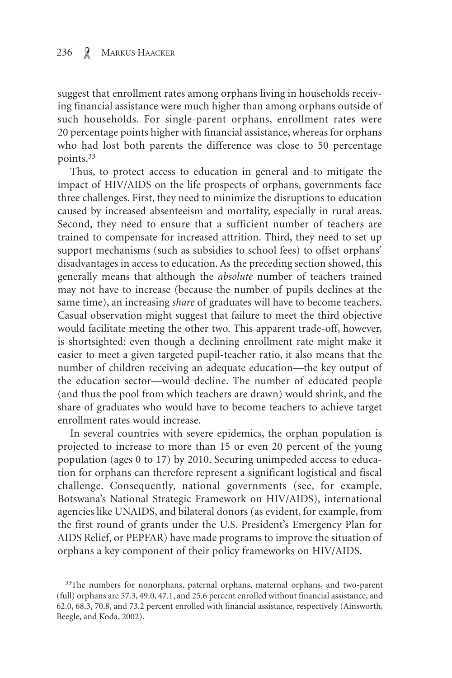suggest that enrollment rates among orphans living in households receiving financial assistance were much higher than among orphans outside of such households. For single-parent orphans, enrollment rates were 20 percentage points higher with financial assistance, whereas for orphans who had lost both parents the difference was close to 50 percentage points.33

Thus, to protect access to education in general and to mitigate the impact of HIV/AIDS on the life prospects of orphans, governments face three challenges. First, they need to minimize the disruptions to education caused by increased absenteeism and mortality, especially in rural areas. Second, they need to ensure that a sufficient number of teachers are trained to compensate for increased attrition. Third, they need to set up support mechanisms (such as subsidies to school fees) to offset orphans' disadvantages in access to education. As the preceding section showed, this generally means that although the *absolute* number of teachers trained may not have to increase (because the number of pupils declines at the same time), an increasing *share* of graduates will have to become teachers. Casual observation might suggest that failure to meet the third objective would facilitate meeting the other two. This apparent trade-off, however, is shortsighted: even though a declining enrollment rate might make it easier to meet a given targeted pupil-teacher ratio, it also means that the number of children receiving an adequate education—the key output of the education sector—would decline. The number of educated people (and thus the pool from which teachers are drawn) would shrink, and the share of graduates who would have to become teachers to achieve target enrollment rates would increase.

In several countries with severe epidemics, the orphan population is projected to increase to more than 15 or even 20 percent of the young population (ages 0 to 17) by 2010. Securing unimpeded access to education for orphans can therefore represent a significant logistical and fiscal challenge. Consequently, national governments (see, for example, Botswana's National Strategic Framework on HIV/AIDS), international agencies like UNAIDS, and bilateral donors (as evident, for example, from the first round of grants under the U.S. President's Emergency Plan for AIDS Relief, or PEPFAR) have made programs to improve the situation of orphans a key component of their policy frameworks on HIV/AIDS.

<sup>&</sup>lt;sup>33</sup>The numbers for nonorphans, paternal orphans, maternal orphans, and two-parent (full) orphans are 57.3, 49.0, 47.1, and 25.6 percent enrolled without financial assistance, and 62.0, 68.3, 70.8, and 73.2 percent enrolled with financial assistance, respectively (Ainsworth, Beegle, and Koda, 2002).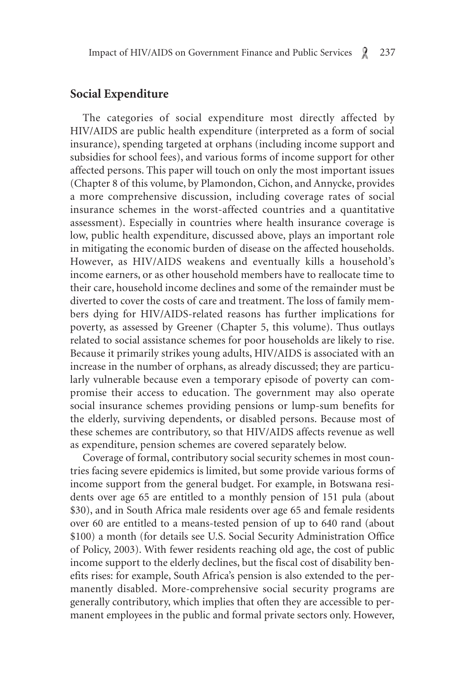# **Social Expenditure**

The categories of social expenditure most directly affected by HIV/AIDS are public health expenditure (interpreted as a form of social insurance), spending targeted at orphans (including income support and subsidies for school fees), and various forms of income support for other affected persons. This paper will touch on only the most important issues (Chapter 8 of this volume, by Plamondon, Cichon, and Annycke, provides a more comprehensive discussion, including coverage rates of social insurance schemes in the worst-affected countries and a quantitative assessment). Especially in countries where health insurance coverage is low, public health expenditure, discussed above, plays an important role in mitigating the economic burden of disease on the affected households. However, as HIV/AIDS weakens and eventually kills a household's income earners, or as other household members have to reallocate time to their care, household income declines and some of the remainder must be diverted to cover the costs of care and treatment. The loss of family members dying for HIV/AIDS-related reasons has further implications for poverty, as assessed by Greener (Chapter 5, this volume). Thus outlays related to social assistance schemes for poor households are likely to rise. Because it primarily strikes young adults, HIV/AIDS is associated with an increase in the number of orphans, as already discussed; they are particularly vulnerable because even a temporary episode of poverty can compromise their access to education. The government may also operate social insurance schemes providing pensions or lump-sum benefits for the elderly, surviving dependents, or disabled persons. Because most of these schemes are contributory, so that HIV/AIDS affects revenue as well as expenditure, pension schemes are covered separately below.

Coverage of formal, contributory social security schemes in most countries facing severe epidemics is limited, but some provide various forms of income support from the general budget. For example, in Botswana residents over age 65 are entitled to a monthly pension of 151 pula (about \$30), and in South Africa male residents over age 65 and female residents over 60 are entitled to a means-tested pension of up to 640 rand (about \$100) a month (for details see U.S. Social Security Administration Office of Policy, 2003). With fewer residents reaching old age, the cost of public income support to the elderly declines, but the fiscal cost of disability benefits rises: for example, South Africa's pension is also extended to the permanently disabled. More-comprehensive social security programs are generally contributory, which implies that often they are accessible to permanent employees in the public and formal private sectors only. However,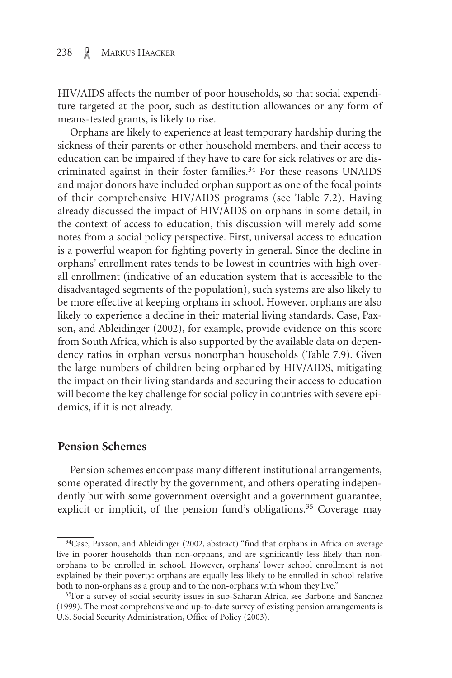HIV/AIDS affects the number of poor households, so that social expenditure targeted at the poor, such as destitution allowances or any form of means-tested grants, is likely to rise.

Orphans are likely to experience at least temporary hardship during the sickness of their parents or other household members, and their access to education can be impaired if they have to care for sick relatives or are discriminated against in their foster families. $34$  For these reasons UNAIDS and major donors have included orphan support as one of the focal points of their comprehensive HIV/AIDS programs (see Table 7.2). Having already discussed the impact of HIV/AIDS on orphans in some detail, in the context of access to education, this discussion will merely add some notes from a social policy perspective. First, universal access to education is a powerful weapon for fighting poverty in general. Since the decline in orphans' enrollment rates tends to be lowest in countries with high overall enrollment (indicative of an education system that is accessible to the disadvantaged segments of the population), such systems are also likely to be more effective at keeping orphans in school. However, orphans are also likely to experience a decline in their material living standards. Case, Paxson, and Ableidinger (2002), for example, provide evidence on this score from South Africa, which is also supported by the available data on dependency ratios in orphan versus nonorphan households (Table 7.9). Given the large numbers of children being orphaned by HIV/AIDS, mitigating the impact on their living standards and securing their access to education will become the key challenge for social policy in countries with severe epidemics, if it is not already.

# **Pension Schemes**

Pension schemes encompass many different institutional arrangements, some operated directly by the government, and others operating independently but with some government oversight and a government guarantee, explicit or implicit, of the pension fund's obligations.<sup>35</sup> Coverage may

<sup>34</sup>Case, Paxson, and Ableidinger (2002, abstract) "find that orphans in Africa on average live in poorer households than non-orphans, and are significantly less likely than nonorphans to be enrolled in school. However, orphans' lower school enrollment is not explained by their poverty: orphans are equally less likely to be enrolled in school relative both to non-orphans as a group and to the non-orphans with whom they live."

<sup>&</sup>lt;sup>35</sup>For a survey of social security issues in sub-Saharan Africa, see Barbone and Sanchez (1999). The most comprehensive and up-to-date survey of existing pension arrangements is U.S. Social Security Administration, Office of Policy (2003).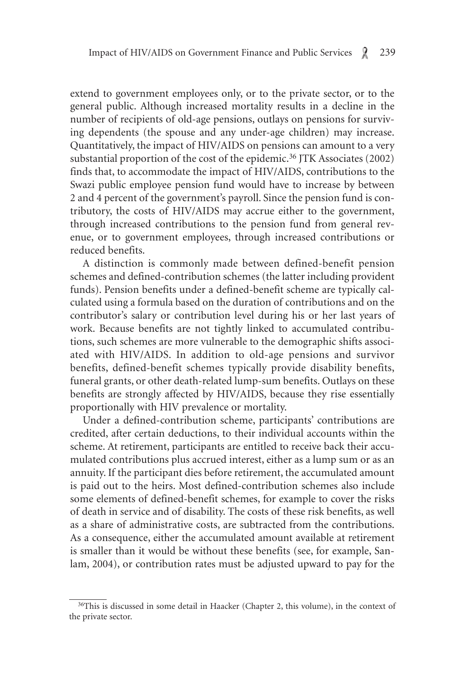extend to government employees only, or to the private sector, or to the general public. Although increased mortality results in a decline in the number of recipients of old-age pensions, outlays on pensions for surviving dependents (the spouse and any under-age children) may increase. Quantitatively, the impact of HIV/AIDS on pensions can amount to a very substantial proportion of the cost of the epidemic.<sup>36</sup> JTK Associates (2002) finds that, to accommodate the impact of HIV/AIDS, contributions to the Swazi public employee pension fund would have to increase by between 2 and 4 percent of the government's payroll. Since the pension fund is contributory, the costs of HIV/AIDS may accrue either to the government, through increased contributions to the pension fund from general revenue, or to government employees, through increased contributions or reduced benefits.

A distinction is commonly made between defined-benefit pension schemes and defined-contribution schemes (the latter including provident funds). Pension benefits under a defined-benefit scheme are typically calculated using a formula based on the duration of contributions and on the contributor's salary or contribution level during his or her last years of work. Because benefits are not tightly linked to accumulated contributions, such schemes are more vulnerable to the demographic shifts associated with HIV/AIDS. In addition to old-age pensions and survivor benefits, defined-benefit schemes typically provide disability benefits, funeral grants, or other death-related lump-sum benefits. Outlays on these benefits are strongly affected by HIV/AIDS, because they rise essentially proportionally with HIV prevalence or mortality.

Under a defined-contribution scheme, participants' contributions are credited, after certain deductions, to their individual accounts within the scheme. At retirement, participants are entitled to receive back their accumulated contributions plus accrued interest, either as a lump sum or as an annuity. If the participant dies before retirement, the accumulated amount is paid out to the heirs. Most defined-contribution schemes also include some elements of defined-benefit schemes, for example to cover the risks of death in service and of disability. The costs of these risk benefits, as well as a share of administrative costs, are subtracted from the contributions. As a consequence, either the accumulated amount available at retirement is smaller than it would be without these benefits (see, for example, Sanlam, 2004), or contribution rates must be adjusted upward to pay for the

<sup>36</sup>This is discussed in some detail in Haacker (Chapter 2, this volume), in the context of the private sector.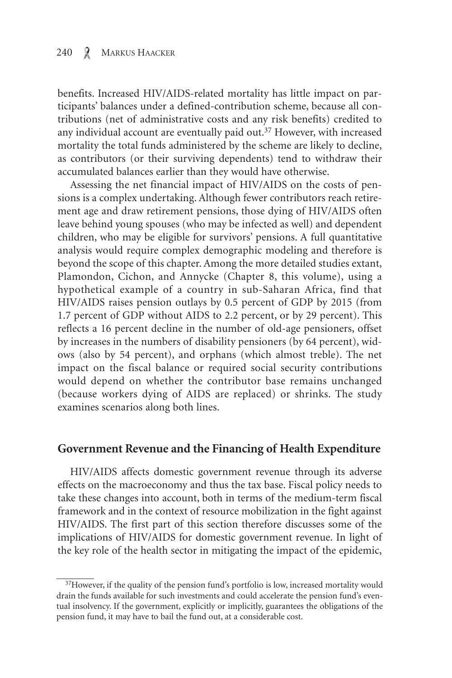benefits. Increased HIV/AIDS-related mortality has little impact on participants' balances under a defined-contribution scheme, because all contributions (net of administrative costs and any risk benefits) credited to any individual account are eventually paid out.<sup>37</sup> However, with increased mortality the total funds administered by the scheme are likely to decline, as contributors (or their surviving dependents) tend to withdraw their accumulated balances earlier than they would have otherwise.

Assessing the net financial impact of HIV/AIDS on the costs of pensions is a complex undertaking. Although fewer contributors reach retirement age and draw retirement pensions, those dying of HIV/AIDS often leave behind young spouses (who may be infected as well) and dependent children, who may be eligible for survivors' pensions. A full quantitative analysis would require complex demographic modeling and therefore is beyond the scope of this chapter. Among the more detailed studies extant, Plamondon, Cichon, and Annycke (Chapter 8, this volume), using a hypothetical example of a country in sub-Saharan Africa, find that HIV/AIDS raises pension outlays by 0.5 percent of GDP by 2015 (from 1.7 percent of GDP without AIDS to 2.2 percent, or by 29 percent). This reflects a 16 percent decline in the number of old-age pensioners, offset by increases in the numbers of disability pensioners (by 64 percent), widows (also by 54 percent), and orphans (which almost treble). The net impact on the fiscal balance or required social security contributions would depend on whether the contributor base remains unchanged (because workers dying of AIDS are replaced) or shrinks. The study examines scenarios along both lines.

# **Government Revenue and the Financing of Health Expenditure**

HIV/AIDS affects domestic government revenue through its adverse effects on the macroeconomy and thus the tax base. Fiscal policy needs to take these changes into account, both in terms of the medium-term fiscal framework and in the context of resource mobilization in the fight against HIV/AIDS. The first part of this section therefore discusses some of the implications of HIV/AIDS for domestic government revenue. In light of the key role of the health sector in mitigating the impact of the epidemic,

<sup>&</sup>lt;sup>37</sup>However, if the quality of the pension fund's portfolio is low, increased mortality would drain the funds available for such investments and could accelerate the pension fund's eventual insolvency. If the government, explicitly or implicitly, guarantees the obligations of the pension fund, it may have to bail the fund out, at a considerable cost.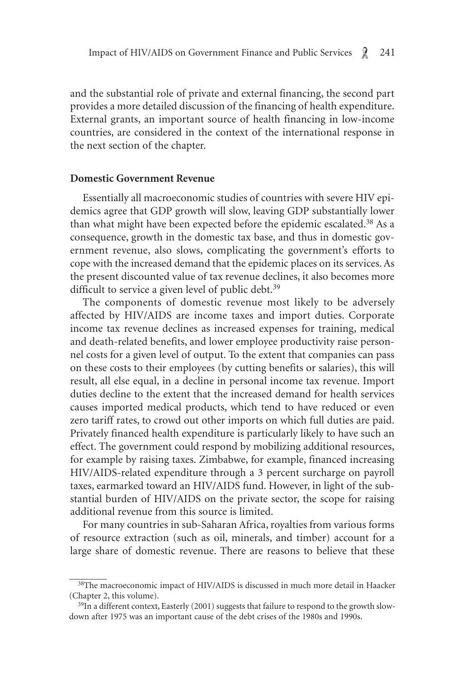and the substantial role of private and external financing, the second part provides a more detailed discussion of the financing of health expenditure. External grants, an important source of health financing in low-income countries, are considered in the context of the international response in the next section of the chapter.

#### **Domestic Government Revenue**

Essentially all macroeconomic studies of countries with severe HIV epidemics agree that GDP growth will slow, leaving GDP substantially lower than what might have been expected before the epidemic escalated.<sup>38</sup> As a consequence, growth in the domestic tax base, and thus in domestic government revenue, also slows, complicating the government's efforts to cope with the increased demand that the epidemic places on its services. As the present discounted value of tax revenue declines, it also becomes more difficult to service a given level of public debt.<sup>39</sup>

The components of domestic revenue most likely to be adversely affected by HIV/AIDS are income taxes and import duties. Corporate income tax revenue declines as increased expenses for training, medical and death-related benefits, and lower employee productivity raise personnel costs for a given level of output. To the extent that companies can pass on these costs to their employees (by cutting benefits or salaries), this will result, all else equal, in a decline in personal income tax revenue. Import duties decline to the extent that the increased demand for health services causes imported medical products, which tend to have reduced or even zero tariff rates, to crowd out other imports on which full duties are paid. Privately financed health expenditure is particularly likely to have such an effect. The government could respond by mobilizing additional resources, for example by raising taxes. Zimbabwe, for example, financed increasing HIV/AIDS-related expenditure through a 3 percent surcharge on payroll taxes, earmarked toward an HIV/AIDS fund. However, in light of the substantial burden of HIV/AIDS on the private sector, the scope for raising additional revenue from this source is limited.

For many countries in sub-Saharan Africa, royalties from various forms of resource extraction (such as oil, minerals, and timber) account for a large share of domestic revenue. There are reasons to believe that these

<sup>38</sup>The macroeconomic impact of HIV/AIDS is discussed in much more detail in Haacker (Chapter 2, this volume).

<sup>&</sup>lt;sup>39</sup>In a different context, Easterly (2001) suggests that failure to respond to the growth slowdown after 1975 was an important cause of the debt crises of the 1980s and 1990s.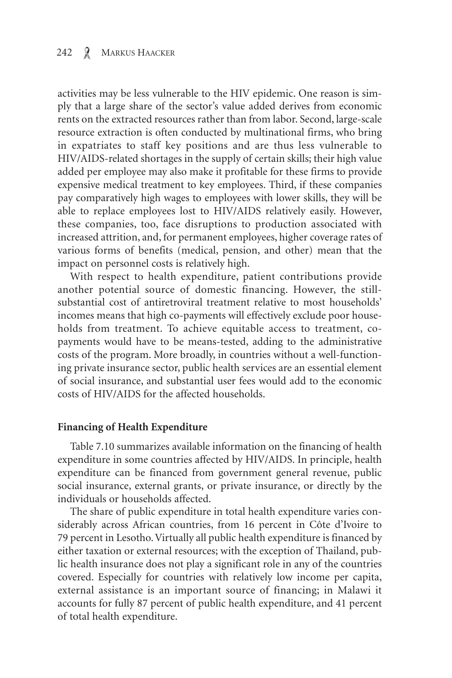activities may be less vulnerable to the HIV epidemic. One reason is simply that a large share of the sector's value added derives from economic rents on the extracted resources rather than from labor. Second, large-scale resource extraction is often conducted by multinational firms, who bring in expatriates to staff key positions and are thus less vulnerable to HIV/AIDS-related shortages in the supply of certain skills; their high value added per employee may also make it profitable for these firms to provide expensive medical treatment to key employees. Third, if these companies pay comparatively high wages to employees with lower skills, they will be able to replace employees lost to HIV/AIDS relatively easily. However, these companies, too, face disruptions to production associated with increased attrition, and, for permanent employees, higher coverage rates of various forms of benefits (medical, pension, and other) mean that the impact on personnel costs is relatively high.

With respect to health expenditure, patient contributions provide another potential source of domestic financing. However, the stillsubstantial cost of antiretroviral treatment relative to most households' incomes means that high co-payments will effectively exclude poor households from treatment. To achieve equitable access to treatment, copayments would have to be means-tested, adding to the administrative costs of the program. More broadly, in countries without a well-functioning private insurance sector, public health services are an essential element of social insurance, and substantial user fees would add to the economic costs of HIV/AIDS for the affected households.

# **Financing of Health Expenditure**

Table 7.10 summarizes available information on the financing of health expenditure in some countries affected by HIV/AIDS. In principle, health expenditure can be financed from government general revenue, public social insurance, external grants, or private insurance, or directly by the individuals or households affected.

The share of public expenditure in total health expenditure varies considerably across African countries, from 16 percent in Côte d'Ivoire to 79 percent in Lesotho. Virtually all public health expenditure is financed by either taxation or external resources; with the exception of Thailand, public health insurance does not play a significant role in any of the countries covered. Especially for countries with relatively low income per capita, external assistance is an important source of financing; in Malawi it accounts for fully 87 percent of public health expenditure, and 41 percent of total health expenditure.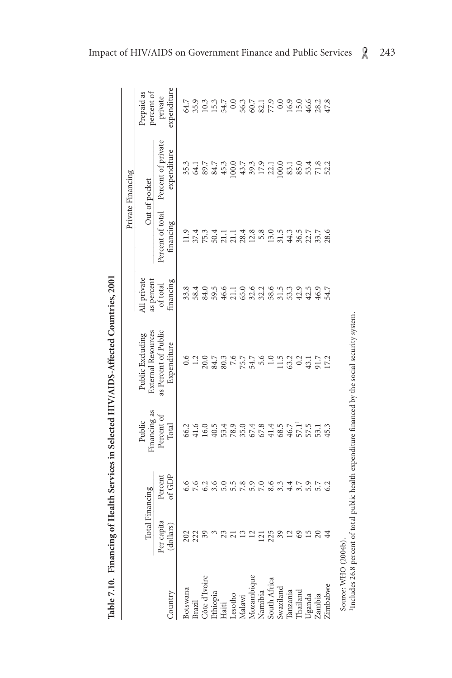| $\frac{1}{2}$            |
|--------------------------|
|                          |
|                          |
|                          |
|                          |
|                          |
|                          |
|                          |
|                          |
|                          |
|                          |
|                          |
|                          |
|                          |
|                          |
|                          |
|                          |
|                          |
|                          |
|                          |
|                          |
|                          |
| $\overline{\phantom{a}}$ |
|                          |
|                          |
|                          |
|                          |
| i                        |
|                          |
| $\frac{1}{2}$<br>ı       |
|                          |
| E<br>F                   |
|                          |

|                     |                         |                         |                            |                                                                                                               |                                |                                                     | Private Financing                 |                                                 |
|---------------------|-------------------------|-------------------------|----------------------------|---------------------------------------------------------------------------------------------------------------|--------------------------------|-----------------------------------------------------|-----------------------------------|-------------------------------------------------|
|                     | Total Financing         |                         | Financing as<br>Public     | External Resources<br>Public Excluding                                                                        | All private<br>as percent      |                                                     | Out of pocket                     | Prepaid as<br>percent of                        |
| Country             | Per capita<br>(dollars) | of GDP<br>Percent       | Percent of<br>Total        | as Percent of Public<br>Expenditure                                                                           | financing<br>of total          | Percent of total<br>financing                       | Percent of private<br>expenditure | expenditure<br>private                          |
| Botswana            | 202                     | 6.6                     | 66.2                       | 0.6                                                                                                           | 33.8                           | 11.9                                                | 35.3                              | 64.7                                            |
| Brazil              | 222                     | 7.6                     | 41.6                       |                                                                                                               | 58.4                           | 37.4                                                | 64.1                              | 35.9                                            |
| Côte d'Ivoire       | 39                      |                         | 16.0                       |                                                                                                               | 84.0                           | 75.3                                                | 89.7                              | 10.3                                            |
| Ethiopia            | $\mathfrak{S}$          | $6.\overline{3}$ , 6    | 40.5                       |                                                                                                               | 59.5                           |                                                     | 84.7                              | 15.3                                            |
| Haiti               |                         | 5.0                     | 53.4                       |                                                                                                               | 46.6                           | 50.4<br>21.1                                        | 45.3                              | 54.7<br>0.0                                     |
| Lesotho             | $\frac{23}{21}$         | $5.\overline{8}$        | 78.9                       |                                                                                                               |                                |                                                     | 100.0                             |                                                 |
| Malawi              | $\overline{13}$         |                         | 35.0                       |                                                                                                               |                                | $\begin{array}{c} 21.1 \\ 28.4 \\ 12.8 \end{array}$ | 43.7                              |                                                 |
| Mozambique          | $\overline{12}$         |                         |                            |                                                                                                               |                                |                                                     |                                   |                                                 |
| Namibia             | $\overline{21}$         |                         | $67.4$<br>$67.8$<br>$41.4$ |                                                                                                               |                                |                                                     | 39.3<br>17.9<br>22.1              |                                                 |
| South Africa        | 225                     |                         |                            |                                                                                                               |                                | $5.8$<br>13.0                                       |                                   | $56.7$<br>$60.7$<br>$7$ , $3$<br>$0.0$<br>$0.0$ |
| Swaziland           | 39                      | $3.\overline{3}$<br>4.4 | 68.5                       | 11.5                                                                                                          | 21.1<br>65.23.36.5<br>75.38.55 | 31.5                                                | 100.0                             |                                                 |
| <b>Canzania</b>     | $209$                   |                         | 46.7                       | 63.2                                                                                                          | 53.3<br>42.9                   | 44.3                                                | 83.1                              |                                                 |
| Thailand            |                         | 3.7                     | 57.1 <sup>1</sup>          | 0.2                                                                                                           |                                | 36.5                                                | 85.0                              | 16.9<br>15.0                                    |
| Uganda              |                         | 5.9                     | 57.5                       | 43.1                                                                                                          | 42.5                           | 22.7                                                | 53.4                              | 46.6                                            |
| Zambia              | $\Omega$                |                         | 53.1                       | 7.7                                                                                                           | 46.9                           | 33.7                                                | 71.8                              | 28.2                                            |
| Zimbabwe            |                         |                         | 15.3                       | 17.2                                                                                                          | 54.7                           | 28.6                                                | 52.2                              | 47.8                                            |
| Source: WHO (2004b) |                         |                         |                            | <sup>1</sup> Includes 26.8 percent of total public health expenditure financed by the social security system. |                                |                                                     |                                   |                                                 |
|                     |                         |                         |                            |                                                                                                               |                                |                                                     |                                   |                                                 |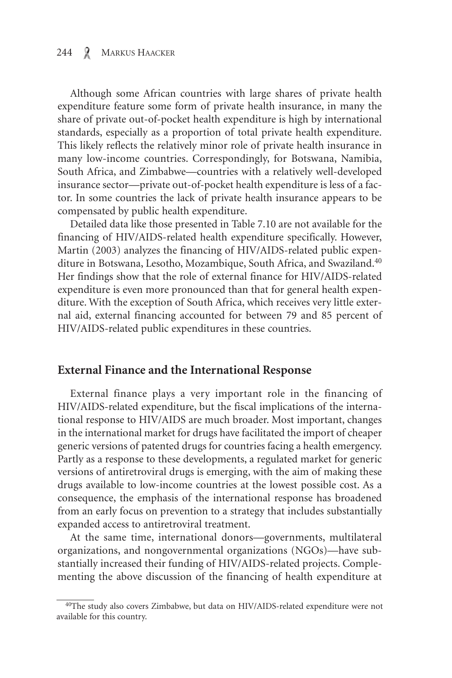Although some African countries with large shares of private health expenditure feature some form of private health insurance, in many the share of private out-of-pocket health expenditure is high by international standards, especially as a proportion of total private health expenditure. This likely reflects the relatively minor role of private health insurance in many low-income countries. Correspondingly, for Botswana, Namibia, South Africa, and Zimbabwe—countries with a relatively well-developed insurance sector—private out-of-pocket health expenditure is less of a factor. In some countries the lack of private health insurance appears to be compensated by public health expenditure.

Detailed data like those presented in Table 7.10 are not available for the financing of HIV/AIDS-related health expenditure specifically. However, Martin (2003) analyzes the financing of HIV/AIDS-related public expenditure in Botswana, Lesotho, Mozambique, South Africa, and Swaziland.<sup>40</sup> Her findings show that the role of external finance for HIV/AIDS-related expenditure is even more pronounced than that for general health expenditure. With the exception of South Africa, which receives very little external aid, external financing accounted for between 79 and 85 percent of HIV/AIDS-related public expenditures in these countries.

# **External Finance and the International Response**

External finance plays a very important role in the financing of HIV/AIDS-related expenditure, but the fiscal implications of the international response to HIV/AIDS are much broader. Most important, changes in the international market for drugs have facilitated the import of cheaper generic versions of patented drugs for countries facing a health emergency. Partly as a response to these developments, a regulated market for generic versions of antiretroviral drugs is emerging, with the aim of making these drugs available to low-income countries at the lowest possible cost. As a consequence, the emphasis of the international response has broadened from an early focus on prevention to a strategy that includes substantially expanded access to antiretroviral treatment.

At the same time, international donors—governments, multilateral organizations, and nongovernmental organizations (NGOs)—have substantially increased their funding of HIV/AIDS-related projects. Complementing the above discussion of the financing of health expenditure at

<sup>40</sup>The study also covers Zimbabwe, but data on HIV/AIDS-related expenditure were not available for this country.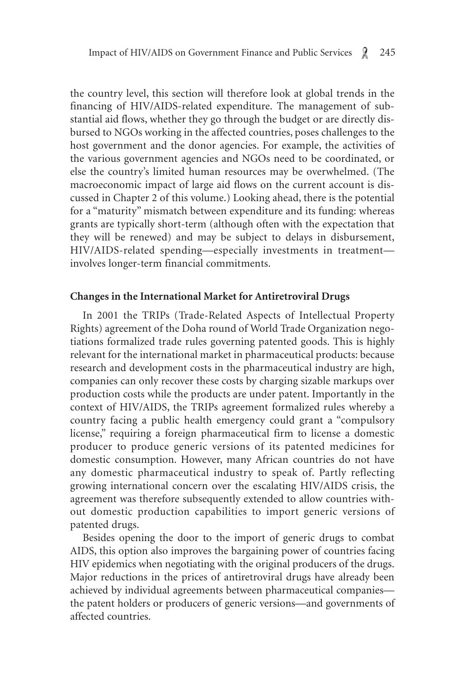the country level, this section will therefore look at global trends in the financing of HIV/AIDS-related expenditure. The management of substantial aid flows, whether they go through the budget or are directly disbursed to NGOs working in the affected countries, poses challenges to the host government and the donor agencies. For example, the activities of the various government agencies and NGOs need to be coordinated, or else the country's limited human resources may be overwhelmed. (The macroeconomic impact of large aid flows on the current account is discussed in Chapter 2 of this volume.) Looking ahead, there is the potential for a "maturity" mismatch between expenditure and its funding: whereas grants are typically short-term (although often with the expectation that they will be renewed) and may be subject to delays in disbursement, HIV/AIDS-related spending—especially investments in treatment involves longer-term financial commitments.

#### **Changes in the International Market for Antiretroviral Drugs**

In 2001 the TRIPs (Trade-Related Aspects of Intellectual Property Rights) agreement of the Doha round of World Trade Organization negotiations formalized trade rules governing patented goods. This is highly relevant for the international market in pharmaceutical products: because research and development costs in the pharmaceutical industry are high, companies can only recover these costs by charging sizable markups over production costs while the products are under patent. Importantly in the context of HIV/AIDS, the TRIPs agreement formalized rules whereby a country facing a public health emergency could grant a "compulsory license," requiring a foreign pharmaceutical firm to license a domestic producer to produce generic versions of its patented medicines for domestic consumption. However, many African countries do not have any domestic pharmaceutical industry to speak of. Partly reflecting growing international concern over the escalating HIV/AIDS crisis, the agreement was therefore subsequently extended to allow countries without domestic production capabilities to import generic versions of patented drugs.

Besides opening the door to the import of generic drugs to combat AIDS, this option also improves the bargaining power of countries facing HIV epidemics when negotiating with the original producers of the drugs. Major reductions in the prices of antiretroviral drugs have already been achieved by individual agreements between pharmaceutical companies the patent holders or producers of generic versions—and governments of affected countries.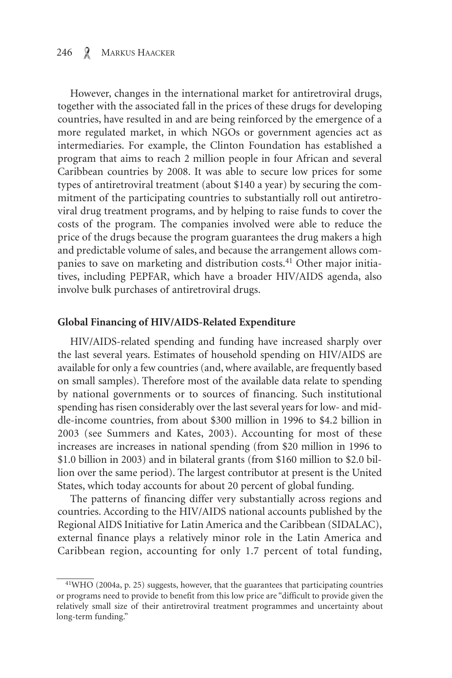However, changes in the international market for antiretroviral drugs, together with the associated fall in the prices of these drugs for developing countries, have resulted in and are being reinforced by the emergence of a more regulated market, in which NGOs or government agencies act as intermediaries. For example, the Clinton Foundation has established a program that aims to reach 2 million people in four African and several Caribbean countries by 2008. It was able to secure low prices for some types of antiretroviral treatment (about \$140 a year) by securing the commitment of the participating countries to substantially roll out antiretroviral drug treatment programs, and by helping to raise funds to cover the costs of the program. The companies involved were able to reduce the price of the drugs because the program guarantees the drug makers a high and predictable volume of sales, and because the arrangement allows companies to save on marketing and distribution costs.<sup>41</sup> Other major initiatives, including PEPFAR, which have a broader HIV/AIDS agenda, also involve bulk purchases of antiretroviral drugs.

# **Global Financing of HIV/AIDS-Related Expenditure**

HIV/AIDS-related spending and funding have increased sharply over the last several years. Estimates of household spending on HIV/AIDS are available for only a few countries (and, where available, are frequently based on small samples). Therefore most of the available data relate to spending by national governments or to sources of financing. Such institutional spending has risen considerably over the last several years for low- and middle-income countries, from about \$300 million in 1996 to \$4.2 billion in 2003 (see Summers and Kates, 2003). Accounting for most of these increases are increases in national spending (from \$20 million in 1996 to \$1.0 billion in 2003) and in bilateral grants (from \$160 million to \$2.0 billion over the same period). The largest contributor at present is the United States, which today accounts for about 20 percent of global funding.

The patterns of financing differ very substantially across regions and countries. According to the HIV/AIDS national accounts published by the Regional AIDS Initiative for Latin America and the Caribbean (SIDALAC), external finance plays a relatively minor role in the Latin America and Caribbean region, accounting for only 1.7 percent of total funding,

 $41$ WHO (2004a, p. 25) suggests, however, that the guarantees that participating countries or programs need to provide to benefit from this low price are "difficult to provide given the relatively small size of their antiretroviral treatment programmes and uncertainty about long-term funding."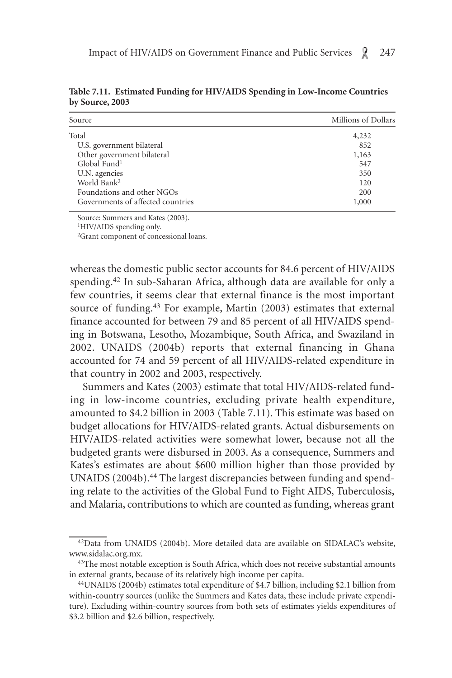| Source                            | Millions of Dollars |
|-----------------------------------|---------------------|
| Total                             | 4,232               |
| U.S. government bilateral         | 852                 |
| Other government bilateral        | 1,163               |
| Global Fund <sup>1</sup>          | 547                 |
| U.N. agencies                     | 350                 |
| World Bank <sup>2</sup>           | 120                 |
| Foundations and other NGOs        | 200                 |
| Governments of affected countries | 1,000               |

**Table 7.11. Estimated Funding for HIV/AIDS Spending in Low-Income Countries by Source, 2003**

Source: Summers and Kates (2003).

<sup>1</sup>HIV/AIDS spending only.

2Grant component of concessional loans.

whereas the domestic public sector accounts for 84.6 percent of HIV/AIDS spending.<sup>42</sup> In sub-Saharan Africa, although data are available for only a few countries, it seems clear that external finance is the most important source of funding.<sup>43</sup> For example, Martin (2003) estimates that external finance accounted for between 79 and 85 percent of all HIV/AIDS spending in Botswana, Lesotho, Mozambique, South Africa, and Swaziland in 2002. UNAIDS (2004b) reports that external financing in Ghana accounted for 74 and 59 percent of all HIV/AIDS-related expenditure in that country in 2002 and 2003, respectively.

Summers and Kates (2003) estimate that total HIV/AIDS-related funding in low-income countries, excluding private health expenditure, amounted to \$4.2 billion in 2003 (Table 7.11). This estimate was based on budget allocations for HIV/AIDS-related grants. Actual disbursements on HIV/AIDS-related activities were somewhat lower, because not all the budgeted grants were disbursed in 2003. As a consequence, Summers and Kates's estimates are about \$600 million higher than those provided by UNAIDS (2004b).<sup>44</sup> The largest discrepancies between funding and spending relate to the activities of the Global Fund to Fight AIDS, Tuberculosis, and Malaria, contributions to which are counted as funding, whereas grant

<sup>42</sup>Data from UNAIDS (2004b). More detailed data are available on SIDALAC's website, www.sidalac.org.mx.

<sup>&</sup>lt;sup>43</sup>The most notable exception is South Africa, which does not receive substantial amounts in external grants, because of its relatively high income per capita.

<sup>44</sup>UNAIDS (2004b) estimates total expenditure of \$4.7 billion, including \$2.1 billion from within-country sources (unlike the Summers and Kates data, these include private expenditure). Excluding within-country sources from both sets of estimates yields expenditures of \$3.2 billion and \$2.6 billion, respectively.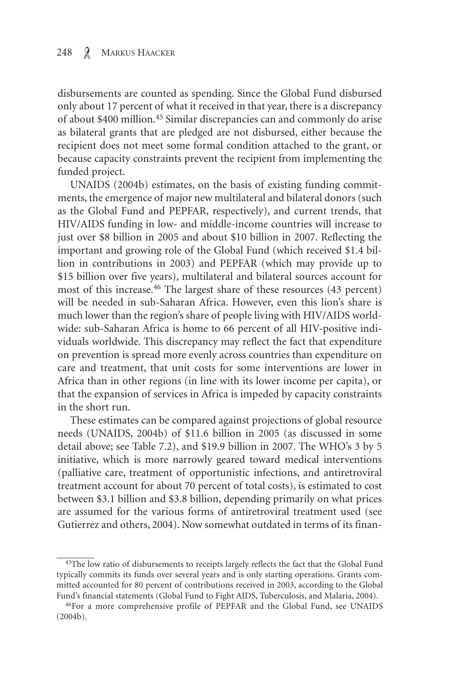# 248 **R** MARKUS HAACKER

disbursements are counted as spending. Since the Global Fund disbursed only about 17 percent of what it received in that year, there is a discrepancy of about \$400 million.45 Similar discrepancies can and commonly do arise as bilateral grants that are pledged are not disbursed, either because the recipient does not meet some formal condition attached to the grant, or because capacity constraints prevent the recipient from implementing the funded project.

UNAIDS (2004b) estimates, on the basis of existing funding commitments, the emergence of major new multilateral and bilateral donors (such as the Global Fund and PEPFAR, respectively), and current trends, that HIV/AIDS funding in low- and middle-income countries will increase to just over \$8 billion in 2005 and about \$10 billion in 2007. Reflecting the important and growing role of the Global Fund (which received \$1.4 billion in contributions in 2003) and PEPFAR (which may provide up to \$15 billion over five years), multilateral and bilateral sources account for most of this increase.<sup>46</sup> The largest share of these resources (43 percent) will be needed in sub-Saharan Africa. However, even this lion's share is much lower than the region's share of people living with HIV/AIDS worldwide: sub-Saharan Africa is home to 66 percent of all HIV-positive individuals worldwide. This discrepancy may reflect the fact that expenditure on prevention is spread more evenly across countries than expenditure on care and treatment, that unit costs for some interventions are lower in Africa than in other regions (in line with its lower income per capita), or that the expansion of services in Africa is impeded by capacity constraints in the short run.

These estimates can be compared against projections of global resource needs (UNAIDS, 2004b) of \$11.6 billion in 2005 (as discussed in some detail above; see Table 7.2), and \$19.9 billion in 2007. The WHO's 3 by 5 initiative, which is more narrowly geared toward medical interventions (palliative care, treatment of opportunistic infections, and antiretroviral treatment account for about 70 percent of total costs), is estimated to cost between \$3.1 billion and \$3.8 billion, depending primarily on what prices are assumed for the various forms of antiretroviral treatment used (see Gutierrez and others, 2004). Now somewhat outdated in terms of its finan-

<sup>&</sup>lt;sup>45</sup>The low ratio of disbursements to receipts largely reflects the fact that the Global Fund typically commits its funds over several years and is only starting operations. Grants committed accounted for 80 percent of contributions received in 2003, according to the Global Fund's financial statements (Global Fund to Fight AIDS, Tuberculosis, and Malaria, 2004).

<sup>46</sup>For a more comprehensive profile of PEPFAR and the Global Fund, see UNAIDS (2004b).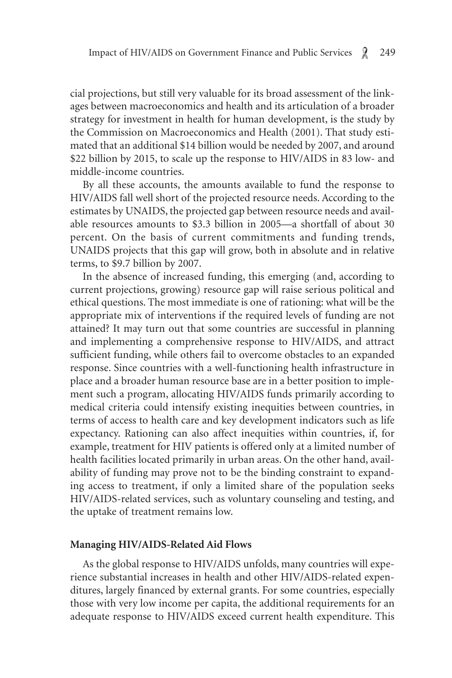cial projections, but still very valuable for its broad assessment of the linkages between macroeconomics and health and its articulation of a broader strategy for investment in health for human development, is the study by the Commission on Macroeconomics and Health (2001). That study estimated that an additional \$14 billion would be needed by 2007, and around \$22 billion by 2015, to scale up the response to HIV/AIDS in 83 low- and middle-income countries.

By all these accounts, the amounts available to fund the response to HIV/AIDS fall well short of the projected resource needs. According to the estimates by UNAIDS, the projected gap between resource needs and available resources amounts to \$3.3 billion in 2005—a shortfall of about 30 percent. On the basis of current commitments and funding trends, UNAIDS projects that this gap will grow, both in absolute and in relative terms, to \$9.7 billion by 2007.

In the absence of increased funding, this emerging (and, according to current projections, growing) resource gap will raise serious political and ethical questions. The most immediate is one of rationing: what will be the appropriate mix of interventions if the required levels of funding are not attained? It may turn out that some countries are successful in planning and implementing a comprehensive response to HIV/AIDS, and attract sufficient funding, while others fail to overcome obstacles to an expanded response. Since countries with a well-functioning health infrastructure in place and a broader human resource base are in a better position to implement such a program, allocating HIV/AIDS funds primarily according to medical criteria could intensify existing inequities between countries, in terms of access to health care and key development indicators such as life expectancy. Rationing can also affect inequities within countries, if, for example, treatment for HIV patients is offered only at a limited number of health facilities located primarily in urban areas. On the other hand, availability of funding may prove not to be the binding constraint to expanding access to treatment, if only a limited share of the population seeks HIV/AIDS-related services, such as voluntary counseling and testing, and the uptake of treatment remains low.

# **Managing HIV/AIDS-Related Aid Flows**

As the global response to HIV/AIDS unfolds, many countries will experience substantial increases in health and other HIV/AIDS-related expenditures, largely financed by external grants. For some countries, especially those with very low income per capita, the additional requirements for an adequate response to HIV/AIDS exceed current health expenditure. This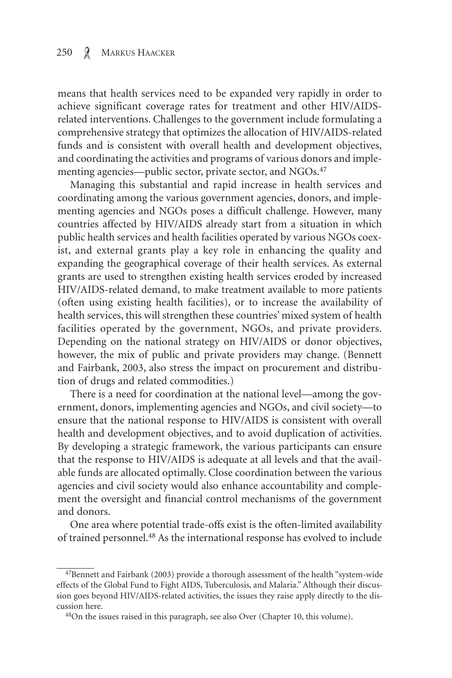# 250 & MARKUS HAACKER

means that health services need to be expanded very rapidly in order to achieve significant coverage rates for treatment and other HIV/AIDSrelated interventions. Challenges to the government include formulating a comprehensive strategy that optimizes the allocation of HIV/AIDS-related funds and is consistent with overall health and development objectives, and coordinating the activities and programs of various donors and implementing agencies—public sector, private sector, and NGOs.<sup>47</sup>

Managing this substantial and rapid increase in health services and coordinating among the various government agencies, donors, and implementing agencies and NGOs poses a difficult challenge. However, many countries affected by HIV/AIDS already start from a situation in which public health services and health facilities operated by various NGOs coexist, and external grants play a key role in enhancing the quality and expanding the geographical coverage of their health services. As external grants are used to strengthen existing health services eroded by increased HIV/AIDS-related demand, to make treatment available to more patients (often using existing health facilities), or to increase the availability of health services, this will strengthen these countries' mixed system of health facilities operated by the government, NGOs, and private providers. Depending on the national strategy on HIV/AIDS or donor objectives, however, the mix of public and private providers may change. (Bennett and Fairbank, 2003, also stress the impact on procurement and distribution of drugs and related commodities.)

There is a need for coordination at the national level—among the government, donors, implementing agencies and NGOs, and civil society—to ensure that the national response to HIV/AIDS is consistent with overall health and development objectives, and to avoid duplication of activities. By developing a strategic framework, the various participants can ensure that the response to HIV/AIDS is adequate at all levels and that the available funds are allocated optimally. Close coordination between the various agencies and civil society would also enhance accountability and complement the oversight and financial control mechanisms of the government and donors.

One area where potential trade-offs exist is the often-limited availability of trained personnel.48 As the international response has evolved to include

<sup>47</sup>Bennett and Fairbank (2003) provide a thorough assessment of the health "system-wide effects of the Global Fund to Fight AIDS, Tuberculosis, and Malaria." Although their discussion goes beyond HIV/AIDS-related activities, the issues they raise apply directly to the discussion here.

<sup>48</sup>On the issues raised in this paragraph, see also Over (Chapter 10, this volume).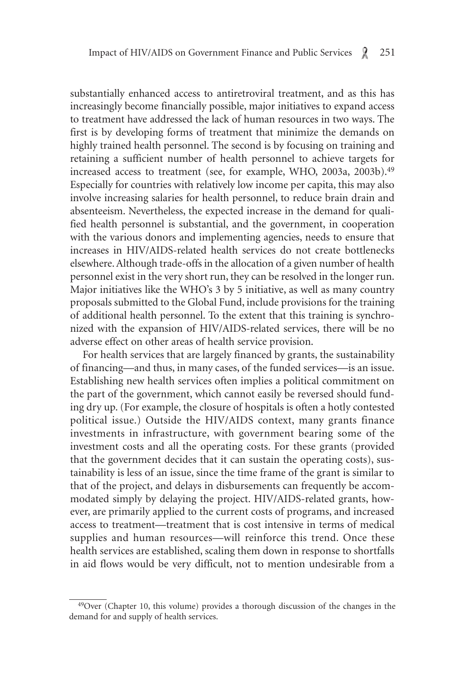substantially enhanced access to antiretroviral treatment, and as this has increasingly become financially possible, major initiatives to expand access to treatment have addressed the lack of human resources in two ways. The first is by developing forms of treatment that minimize the demands on highly trained health personnel. The second is by focusing on training and retaining a sufficient number of health personnel to achieve targets for increased access to treatment (see, for example, WHO, 2003a, 2003b).<sup>49</sup> Especially for countries with relatively low income per capita, this may also involve increasing salaries for health personnel, to reduce brain drain and absenteeism. Nevertheless, the expected increase in the demand for qualified health personnel is substantial, and the government, in cooperation with the various donors and implementing agencies, needs to ensure that increases in HIV/AIDS-related health services do not create bottlenecks elsewhere. Although trade-offs in the allocation of a given number of health personnel exist in the very short run, they can be resolved in the longer run. Major initiatives like the WHO's 3 by 5 initiative, as well as many country proposals submitted to the Global Fund, include provisions for the training of additional health personnel. To the extent that this training is synchronized with the expansion of HIV/AIDS-related services, there will be no adverse effect on other areas of health service provision.

For health services that are largely financed by grants, the sustainability of financing—and thus, in many cases, of the funded services—is an issue. Establishing new health services often implies a political commitment on the part of the government, which cannot easily be reversed should funding dry up. (For example, the closure of hospitals is often a hotly contested political issue.) Outside the HIV/AIDS context, many grants finance investments in infrastructure, with government bearing some of the investment costs and all the operating costs. For these grants (provided that the government decides that it can sustain the operating costs), sustainability is less of an issue, since the time frame of the grant is similar to that of the project, and delays in disbursements can frequently be accommodated simply by delaying the project. HIV/AIDS-related grants, however, are primarily applied to the current costs of programs, and increased access to treatment—treatment that is cost intensive in terms of medical supplies and human resources—will reinforce this trend. Once these health services are established, scaling them down in response to shortfalls in aid flows would be very difficult, not to mention undesirable from a

<sup>49</sup>Over (Chapter 10, this volume) provides a thorough discussion of the changes in the demand for and supply of health services.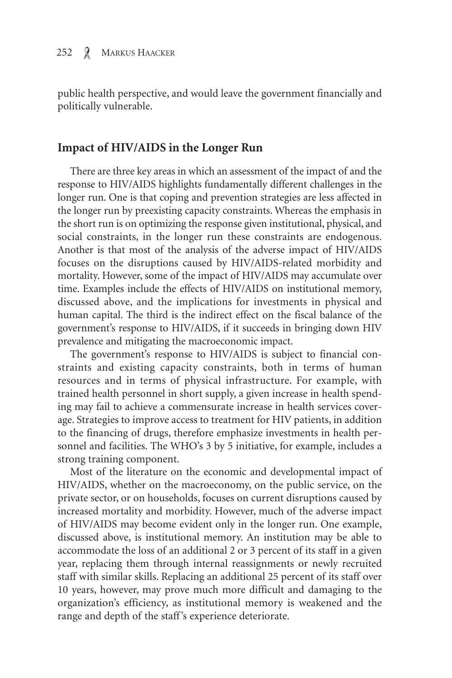public health perspective, and would leave the government financially and politically vulnerable.

# **Impact of HIV/AIDS in the Longer Run**

There are three key areas in which an assessment of the impact of and the response to HIV/AIDS highlights fundamentally different challenges in the longer run. One is that coping and prevention strategies are less affected in the longer run by preexisting capacity constraints. Whereas the emphasis in the short run is on optimizing the response given institutional, physical, and social constraints, in the longer run these constraints are endogenous. Another is that most of the analysis of the adverse impact of HIV/AIDS focuses on the disruptions caused by HIV/AIDS-related morbidity and mortality. However, some of the impact of HIV/AIDS may accumulate over time. Examples include the effects of HIV/AIDS on institutional memory, discussed above, and the implications for investments in physical and human capital. The third is the indirect effect on the fiscal balance of the government's response to HIV/AIDS, if it succeeds in bringing down HIV prevalence and mitigating the macroeconomic impact.

The government's response to HIV/AIDS is subject to financial constraints and existing capacity constraints, both in terms of human resources and in terms of physical infrastructure. For example, with trained health personnel in short supply, a given increase in health spending may fail to achieve a commensurate increase in health services coverage. Strategies to improve access to treatment for HIV patients, in addition to the financing of drugs, therefore emphasize investments in health personnel and facilities. The WHO's 3 by 5 initiative, for example, includes a strong training component.

Most of the literature on the economic and developmental impact of HIV/AIDS, whether on the macroeconomy, on the public service, on the private sector, or on households, focuses on current disruptions caused by increased mortality and morbidity. However, much of the adverse impact of HIV/AIDS may become evident only in the longer run. One example, discussed above, is institutional memory. An institution may be able to accommodate the loss of an additional 2 or 3 percent of its staff in a given year, replacing them through internal reassignments or newly recruited staff with similar skills. Replacing an additional 25 percent of its staff over 10 years, however, may prove much more difficult and damaging to the organization's efficiency, as institutional memory is weakened and the range and depth of the staff's experience deteriorate.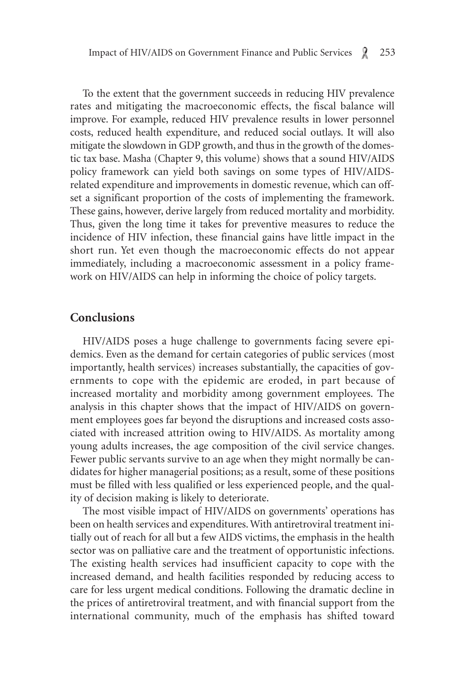To the extent that the government succeeds in reducing HIV prevalence rates and mitigating the macroeconomic effects, the fiscal balance will improve. For example, reduced HIV prevalence results in lower personnel costs, reduced health expenditure, and reduced social outlays. It will also mitigate the slowdown in GDP growth, and thus in the growth of the domestic tax base. Masha (Chapter 9, this volume) shows that a sound HIV/AIDS policy framework can yield both savings on some types of HIV/AIDSrelated expenditure and improvements in domestic revenue, which can offset a significant proportion of the costs of implementing the framework. These gains, however, derive largely from reduced mortality and morbidity. Thus, given the long time it takes for preventive measures to reduce the incidence of HIV infection, these financial gains have little impact in the short run. Yet even though the macroeconomic effects do not appear immediately, including a macroeconomic assessment in a policy framework on HIV/AIDS can help in informing the choice of policy targets.

# **Conclusions**

HIV/AIDS poses a huge challenge to governments facing severe epidemics. Even as the demand for certain categories of public services (most importantly, health services) increases substantially, the capacities of governments to cope with the epidemic are eroded, in part because of increased mortality and morbidity among government employees. The analysis in this chapter shows that the impact of HIV/AIDS on government employees goes far beyond the disruptions and increased costs associated with increased attrition owing to HIV/AIDS. As mortality among young adults increases, the age composition of the civil service changes. Fewer public servants survive to an age when they might normally be candidates for higher managerial positions; as a result, some of these positions must be filled with less qualified or less experienced people, and the quality of decision making is likely to deteriorate.

The most visible impact of HIV/AIDS on governments' operations has been on health services and expenditures. With antiretroviral treatment initially out of reach for all but a few AIDS victims, the emphasis in the health sector was on palliative care and the treatment of opportunistic infections. The existing health services had insufficient capacity to cope with the increased demand, and health facilities responded by reducing access to care for less urgent medical conditions. Following the dramatic decline in the prices of antiretroviral treatment, and with financial support from the international community, much of the emphasis has shifted toward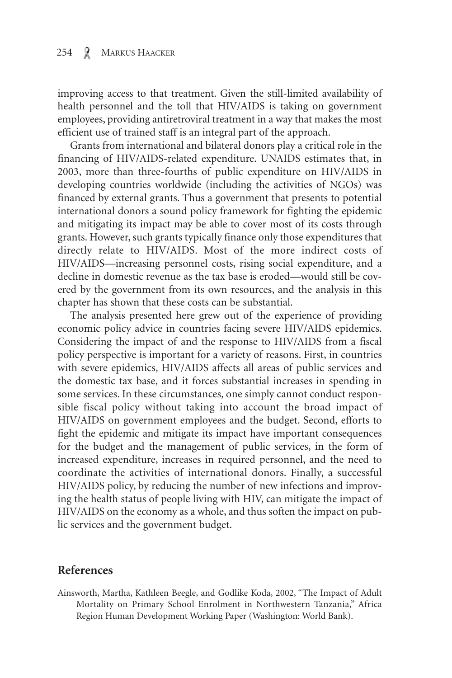improving access to that treatment. Given the still-limited availability of health personnel and the toll that HIV/AIDS is taking on government employees, providing antiretroviral treatment in a way that makes the most efficient use of trained staff is an integral part of the approach.

Grants from international and bilateral donors play a critical role in the financing of HIV/AIDS-related expenditure. UNAIDS estimates that, in 2003, more than three-fourths of public expenditure on HIV/AIDS in developing countries worldwide (including the activities of NGOs) was financed by external grants. Thus a government that presents to potential international donors a sound policy framework for fighting the epidemic and mitigating its impact may be able to cover most of its costs through grants. However, such grants typically finance only those expenditures that directly relate to HIV/AIDS. Most of the more indirect costs of HIV/AIDS—increasing personnel costs, rising social expenditure, and a decline in domestic revenue as the tax base is eroded—would still be covered by the government from its own resources, and the analysis in this chapter has shown that these costs can be substantial.

The analysis presented here grew out of the experience of providing economic policy advice in countries facing severe HIV/AIDS epidemics. Considering the impact of and the response to HIV/AIDS from a fiscal policy perspective is important for a variety of reasons. First, in countries with severe epidemics, HIV/AIDS affects all areas of public services and the domestic tax base, and it forces substantial increases in spending in some services. In these circumstances, one simply cannot conduct responsible fiscal policy without taking into account the broad impact of HIV/AIDS on government employees and the budget. Second, efforts to fight the epidemic and mitigate its impact have important consequences for the budget and the management of public services, in the form of increased expenditure, increases in required personnel, and the need to coordinate the activities of international donors. Finally, a successful HIV/AIDS policy, by reducing the number of new infections and improving the health status of people living with HIV, can mitigate the impact of HIV/AIDS on the economy as a whole, and thus soften the impact on public services and the government budget.

# **References**

Ainsworth, Martha, Kathleen Beegle, and Godlike Koda, 2002, "The Impact of Adult Mortality on Primary School Enrolment in Northwestern Tanzania," Africa Region Human Development Working Paper (Washington: World Bank).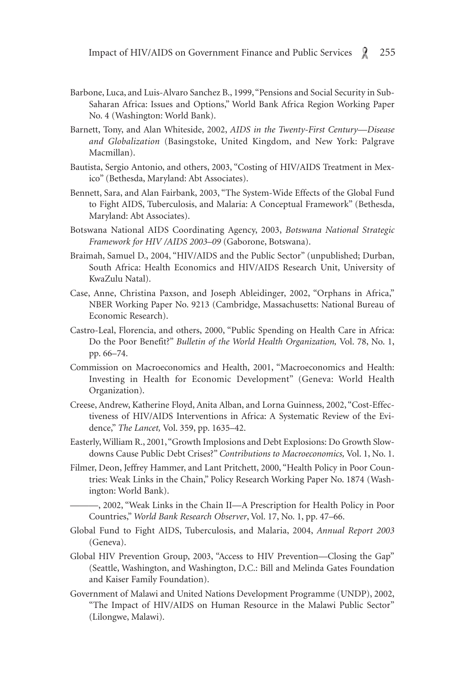- Barbone, Luca, and Luis-Alvaro Sanchez B., 1999,"Pensions and Social Security in Sub-Saharan Africa: Issues and Options," World Bank Africa Region Working Paper No. 4 (Washington: World Bank).
- Barnett, Tony, and Alan Whiteside, 2002, *AIDS in the Twenty-First Century—Disease and Globalization* (Basingstoke, United Kingdom, and New York: Palgrave Macmillan).
- Bautista, Sergio Antonio, and others, 2003, "Costing of HIV/AIDS Treatment in Mexico" (Bethesda, Maryland: Abt Associates).
- Bennett, Sara, and Alan Fairbank, 2003, "The System-Wide Effects of the Global Fund to Fight AIDS, Tuberculosis, and Malaria: A Conceptual Framework" (Bethesda, Maryland: Abt Associates).
- Botswana National AIDS Coordinating Agency, 2003, *Botswana National Strategic Framework for HIV /AIDS 2003–09* (Gaborone, Botswana).
- Braimah, Samuel D., 2004, "HIV/AIDS and the Public Sector" (unpublished; Durban, South Africa: Health Economics and HIV/AIDS Research Unit, University of KwaZulu Natal).
- Case, Anne, Christina Paxson, and Joseph Ableidinger, 2002, "Orphans in Africa," NBER Working Paper No. 9213 (Cambridge, Massachusetts: National Bureau of Economic Research).
- Castro-Leal, Florencia, and others, 2000, "Public Spending on Health Care in Africa: Do the Poor Benefit?" *Bulletin of the World Health Organization,* Vol. 78, No. 1, pp. 66–74.
- Commission on Macroeconomics and Health, 2001, "Macroeconomics and Health: Investing in Health for Economic Development" (Geneva: World Health Organization).
- Creese, Andrew, Katherine Floyd, Anita Alban, and Lorna Guinness, 2002, "Cost-Effectiveness of HIV/AIDS Interventions in Africa: A Systematic Review of the Evidence," *The Lancet,* Vol. 359, pp. 1635–42.
- Easterly, William R., 2001,"Growth Implosions and Debt Explosions: Do Growth Slowdowns Cause Public Debt Crises?" *Contributions to Macroeconomics,* Vol. 1, No. 1.
- Filmer, Deon, Jeffrey Hammer, and Lant Pritchett, 2000, "Health Policy in Poor Countries: Weak Links in the Chain," Policy Research Working Paper No. 1874 (Washington: World Bank).
	- ———, 2002, "Weak Links in the Chain II—A Prescription for Health Policy in Poor Countries," *World Bank Research Observer*, Vol. 17, No. 1, pp. 47–66.
- Global Fund to Fight AIDS, Tuberculosis, and Malaria, 2004, *Annual Report 2003* (Geneva).
- Global HIV Prevention Group, 2003, "Access to HIV Prevention—Closing the Gap" (Seattle, Washington, and Washington, D.C.: Bill and Melinda Gates Foundation and Kaiser Family Foundation).
- Government of Malawi and United Nations Development Programme (UNDP), 2002, "The Impact of HIV/AIDS on Human Resource in the Malawi Public Sector" (Lilongwe, Malawi).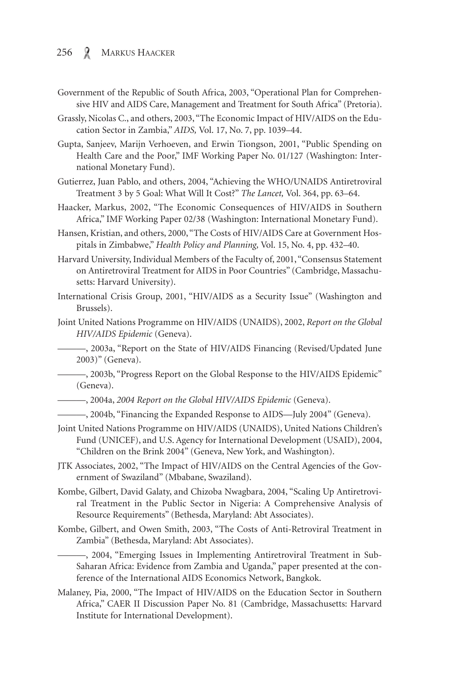- Government of the Republic of South Africa, 2003, "Operational Plan for Comprehensive HIV and AIDS Care, Management and Treatment for South Africa" (Pretoria).
- Grassly, Nicolas C., and others, 2003, "The Economic Impact of HIV/AIDS on the Education Sector in Zambia," *AIDS,* Vol. 17, No. 7, pp. 1039–44.
- Gupta, Sanjeev, Marijn Verhoeven, and Erwin Tiongson, 2001, "Public Spending on Health Care and the Poor," IMF Working Paper No. 01/127 (Washington: International Monetary Fund).
- Gutierrez, Juan Pablo, and others, 2004, "Achieving the WHO/UNAIDS Antiretroviral Treatment 3 by 5 Goal: What Will It Cost?" *The Lancet,* Vol. 364, pp. 63–64.
- Haacker, Markus, 2002, "The Economic Consequences of HIV/AIDS in Southern Africa," IMF Working Paper 02/38 (Washington: International Monetary Fund).
- Hansen, Kristian, and others, 2000, "The Costs of HIV/AIDS Care at Government Hospitals in Zimbabwe," *Health Policy and Planning,* Vol. 15, No. 4, pp. 432–40.
- Harvard University, Individual Members of the Faculty of, 2001, "Consensus Statement on Antiretroviral Treatment for AIDS in Poor Countries" (Cambridge, Massachusetts: Harvard University).
- International Crisis Group, 2001, "HIV/AIDS as a Security Issue" (Washington and Brussels).
- Joint United Nations Programme on HIV/AIDS (UNAIDS), 2002, *Report on the Global HIV/AIDS Epidemic* (Geneva).
	- ———, 2003a, "Report on the State of HIV/AIDS Financing (Revised/Updated June 2003)" (Geneva).
	- ———, 2003b, "Progress Report on the Global Response to the HIV/AIDS Epidemic" (Geneva).
- ———, 2004a, *2004 Report on the Global HIV/AIDS Epidemic* (Geneva).
- ———, 2004b, "Financing the Expanded Response to AIDS—July 2004" (Geneva).
- Joint United Nations Programme on HIV/AIDS (UNAIDS), United Nations Children's Fund (UNICEF), and U.S. Agency for International Development (USAID), 2004, "Children on the Brink 2004" (Geneva, New York, and Washington).
- JTK Associates, 2002, "The Impact of HIV/AIDS on the Central Agencies of the Government of Swaziland" (Mbabane, Swaziland).
- Kombe, Gilbert, David Galaty, and Chizoba Nwagbara, 2004, "Scaling Up Antiretroviral Treatment in the Public Sector in Nigeria: A Comprehensive Analysis of Resource Requirements" (Bethesda, Maryland: Abt Associates).
- Kombe, Gilbert, and Owen Smith, 2003, "The Costs of Anti-Retroviral Treatment in Zambia" (Bethesda, Maryland: Abt Associates).

———, 2004, "Emerging Issues in Implementing Antiretroviral Treatment in Sub-Saharan Africa: Evidence from Zambia and Uganda," paper presented at the conference of the International AIDS Economics Network, Bangkok.

Malaney, Pia, 2000, "The Impact of HIV/AIDS on the Education Sector in Southern Africa," CAER II Discussion Paper No. 81 (Cambridge, Massachusetts: Harvard Institute for International Development).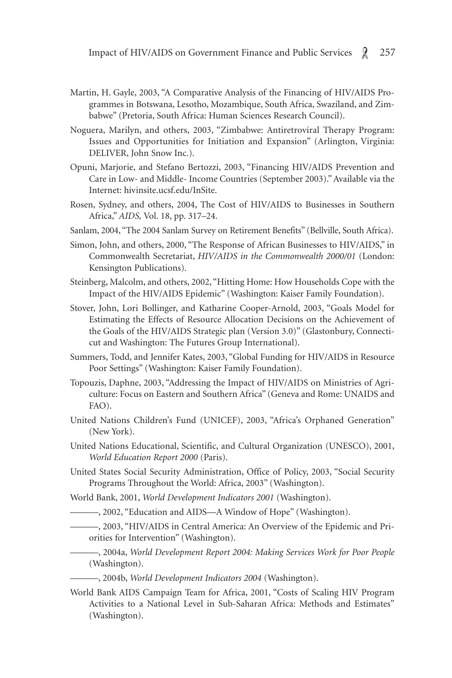- Martin, H. Gayle, 2003, "A Comparative Analysis of the Financing of HIV/AIDS Programmes in Botswana, Lesotho, Mozambique, South Africa, Swaziland, and Zimbabwe" (Pretoria, South Africa: Human Sciences Research Council).
- Noguera, Marilyn, and others, 2003, "Zimbabwe: Antiretroviral Therapy Program: Issues and Opportunities for Initiation and Expansion" (Arlington, Virginia: DELIVER, John Snow Inc.).
- Opuni, Marjorie, and Stefano Bertozzi, 2003, "Financing HIV/AIDS Prevention and Care in Low- and Middle- Income Countries (September 2003)." Available via the Internet: hivinsite.ucsf.edu/InSite.
- Rosen, Sydney, and others, 2004, The Cost of HIV/AIDS to Businesses in Southern Africa," *AIDS,* Vol. 18, pp. 317–24.
- Sanlam, 2004, "The 2004 Sanlam Survey on Retirement Benefits" (Bellville, South Africa).
- Simon, John, and others, 2000, "The Response of African Businesses to HIV/AIDS," in Commonwealth Secretariat, *HIV/AIDS in the Commonwealth 2000/01* (London: Kensington Publications).
- Steinberg, Malcolm, and others, 2002, "Hitting Home: How Households Cope with the Impact of the HIV/AIDS Epidemic" (Washington: Kaiser Family Foundation).
- Stover, John, Lori Bollinger, and Katharine Cooper-Arnold, 2003, "Goals Model for Estimating the Effects of Resource Allocation Decisions on the Achievement of the Goals of the HIV/AIDS Strategic plan (Version 3.0)" (Glastonbury, Connecticut and Washington: The Futures Group International).
- Summers, Todd, and Jennifer Kates, 2003, "Global Funding for HIV/AIDS in Resource Poor Settings" (Washington: Kaiser Family Foundation).
- Topouzis, Daphne, 2003, "Addressing the Impact of HIV/AIDS on Ministries of Agriculture: Focus on Eastern and Southern Africa" (Geneva and Rome: UNAIDS and FAO).
- United Nations Children's Fund (UNICEF), 2003, "Africa's Orphaned Generation" (New York).
- United Nations Educational, Scientific, and Cultural Organization (UNESCO), 2001, *World Education Report 2000* (Paris).
- United States Social Security Administration, Office of Policy, 2003, "Social Security Programs Throughout the World: Africa, 2003" (Washington).
- World Bank, 2001, *World Development Indicators 2001* (Washington).
- ———, 2002, "Education and AIDS—A Window of Hope" (Washington).
- ———, 2003, "HIV/AIDS in Central America: An Overview of the Epidemic and Priorities for Intervention" (Washington).
	- ———, 2004a, *World Development Report 2004: Making Services Work for Poor People* (Washington).
		- ———, 2004b, *World Development Indicators 2004* (Washington).
- World Bank AIDS Campaign Team for Africa, 2001, "Costs of Scaling HIV Program Activities to a National Level in Sub-Saharan Africa: Methods and Estimates" (Washington).